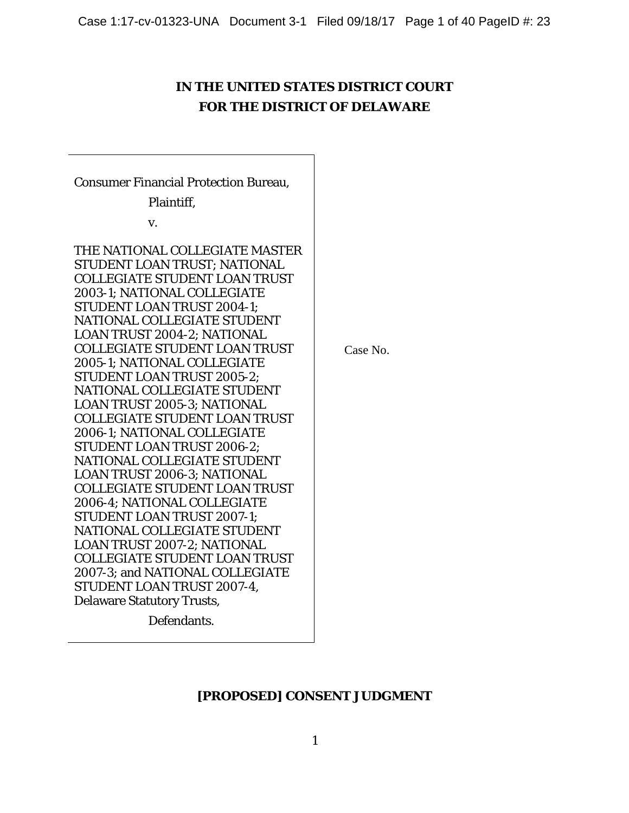# **IN THE UNITED STATES DISTRICT COURT FOR THE DISTRICT OF DELAWARE**

Consumer Financial Protection Bureau, Plaintiff, v. THE NATIONAL COLLEGIATE MASTER STUDENT LOAN TRUST; NATIONAL COLLEGIATE STUDENT LOAN TRUST 2003-1; NATIONAL COLLEGIATE STUDENT LOAN TRUST 2004-1; NATIONAL COLLEGIATE STUDENT LOAN TRUST 2004-2; NATIONAL COLLEGIATE STUDENT LOAN TRUST 2005-1; NATIONAL COLLEGIATE STUDENT LOAN TRUST 2005-2; NATIONAL COLLEGIATE STUDENT LOAN TRUST 2005-3; NATIONAL COLLEGIATE STUDENT LOAN TRUST 2006-1; NATIONAL COLLEGIATE STUDENT LOAN TRUST 2006-2; NATIONAL COLLEGIATE STUDENT LOAN TRUST 2006-3; NATIONAL COLLEGIATE STUDENT LOAN TRUST 2006-4; NATIONAL COLLEGIATE STUDENT LOAN TRUST 2007-1; NATIONAL COLLEGIATE STUDENT LOAN TRUST 2007-2; NATIONAL COLLEGIATE STUDENT LOAN TRUST 2007-3; and NATIONAL COLLEGIATE STUDENT LOAN TRUST 2007-4, Delaware Statutory Trusts,

Defendants.

Case No.

## **[PROPOSED] CONSENT JUDGMENT**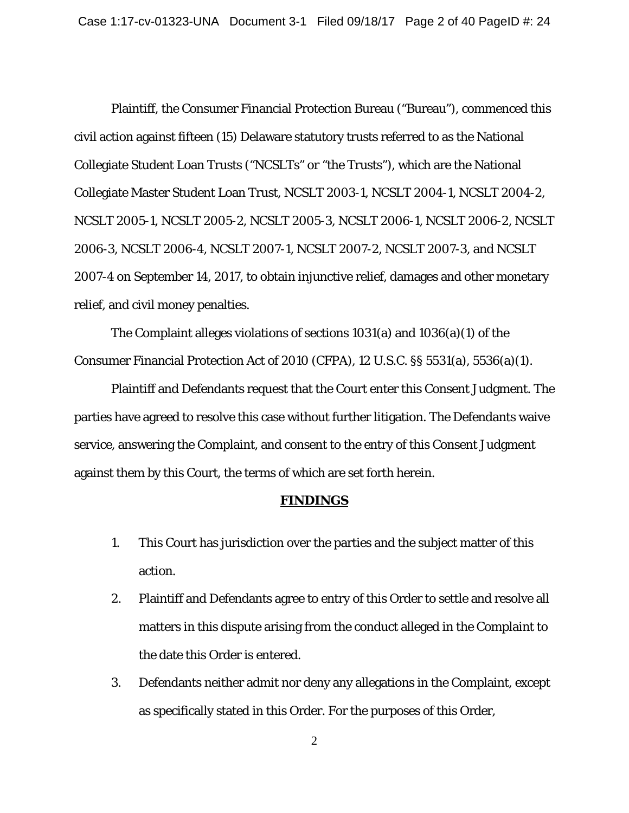Plaintiff, the Consumer Financial Protection Bureau ("Bureau"), commenced this civil action against fifteen (15) Delaware statutory trusts referred to as the National Collegiate Student Loan Trusts ("NCSLTs" or "the Trusts"), which are the National Collegiate Master Student Loan Trust, NCSLT 2003-1, NCSLT 2004-1, NCSLT 2004-2, NCSLT 2005-1, NCSLT 2005-2, NCSLT 2005-3, NCSLT 2006-1, NCSLT 2006-2, NCSLT 2006-3, NCSLT 2006-4, NCSLT 2007-1, NCSLT 2007-2, NCSLT 2007-3, and NCSLT 2007-4 on September 14, 2017, to obtain injunctive relief, damages and other monetary relief, and civil money penalties.

The Complaint alleges violations of sections 1031(a) and 1036(a)(1) of the Consumer Financial Protection Act of 2010 (CFPA), 12 U.S.C. §§ 5531(a), 5536(a)(1).

Plaintiff and Defendants request that the Court enter this Consent Judgment. The parties have agreed to resolve this case without further litigation. The Defendants waive service, answering the Complaint, and consent to the entry of this Consent Judgment against them by this Court, the terms of which are set forth herein.

#### **FINDINGS**

- 1. This Court has jurisdiction over the parties and the subject matter of this action.
- 2. Plaintiff and Defendants agree to entry of this Order to settle and resolve all matters in this dispute arising from the conduct alleged in the Complaint to the date this Order is entered.
- 3. Defendants neither admit nor deny any allegations in the Complaint, except as specifically stated in this Order. For the purposes of this Order,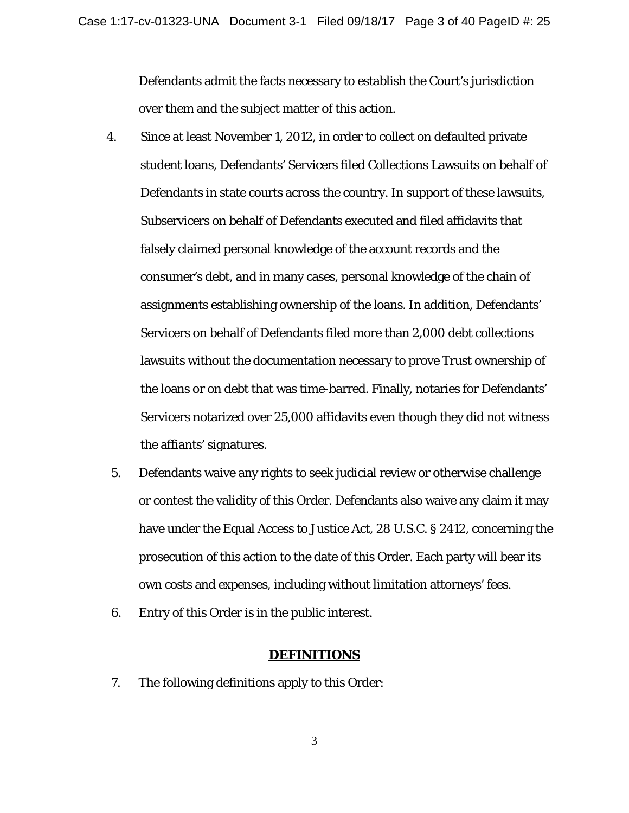Defendants admit the facts necessary to establish the Court's jurisdiction over them and the subject matter of this action.

- 4. Since at least November 1, 2012, in order to collect on defaulted private student loans, Defendants' Servicers filed Collections Lawsuits on behalf of Defendants in state courts across the country. In support of these lawsuits, Subservicers on behalf of Defendants executed and filed affidavits that falsely claimed personal knowledge of the account records and the consumer's debt, and in many cases, personal knowledge of the chain of assignments establishing ownership of the loans. In addition, Defendants' Servicers on behalf of Defendants filed more than 2,000 debt collections lawsuits without the documentation necessary to prove Trust ownership of the loans or on debt that was time-barred. Finally, notaries for Defendants' Servicers notarized over 25,000 affidavits even though they did not witness the affiants' signatures.
- 5. Defendants waive any rights to seek judicial review or otherwise challenge or contest the validity of this Order. Defendants also waive any claim it may have under the Equal Access to Justice Act, 28 U.S.C. § 2412, concerning the prosecution of this action to the date of this Order. Each party will bear its own costs and expenses, including without limitation attorneys' fees.
- 6. Entry of this Order is in the public interest.

#### **DEFINITIONS**

7. The following definitions apply to this Order: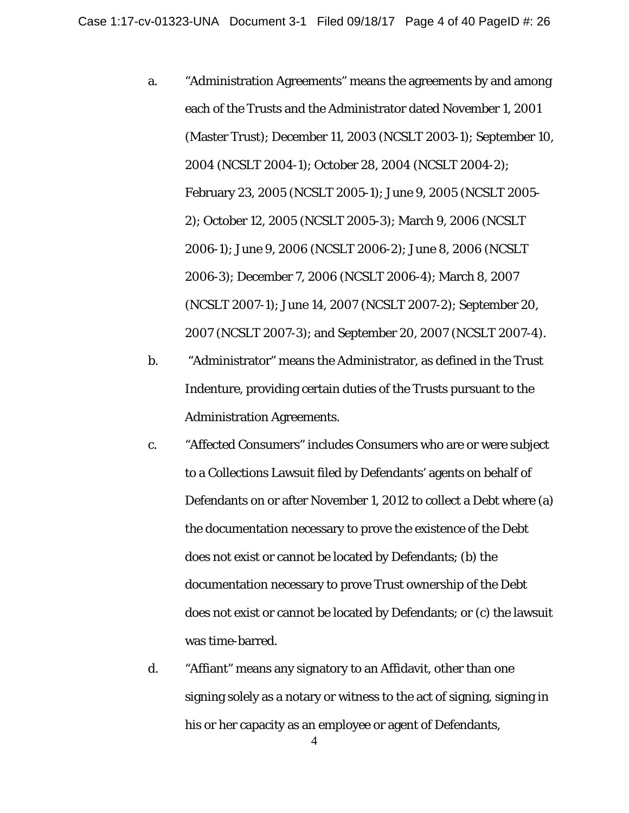- a. "Administration Agreements" means the agreements by and among each of the Trusts and the Administrator dated November 1, 2001 (Master Trust); December 11, 2003 (NCSLT 2003-1); September 10, 2004 (NCSLT 2004-1); October 28, 2004 (NCSLT 2004-2); February 23, 2005 (NCSLT 2005-1); June 9, 2005 (NCSLT 2005- 2); October 12, 2005 (NCSLT 2005-3); March 9, 2006 (NCSLT 2006-1); June 9, 2006 (NCSLT 2006-2); June 8, 2006 (NCSLT 2006-3); December 7, 2006 (NCSLT 2006-4); March 8, 2007 (NCSLT 2007-1); June 14, 2007 (NCSLT 2007-2); September 20, 2007 (NCSLT 2007-3); and September 20, 2007 (NCSLT 2007-4).
- b. "Administrator" means the Administrator, as defined in the Trust Indenture, providing certain duties of the Trusts pursuant to the Administration Agreements.
- c. "Affected Consumers" includes Consumers who are or were subject to a Collections Lawsuit filed by Defendants' agents on behalf of Defendants on or after November 1, 2012 to collect a Debt where (a) the documentation necessary to prove the existence of the Debt does not exist or cannot be located by Defendants; (b) the documentation necessary to prove Trust ownership of the Debt does not exist or cannot be located by Defendants; or (c) the lawsuit was time-barred.
- d. "Affiant" means any signatory to an Affidavit, other than one signing solely as a notary or witness to the act of signing, signing in his or her capacity as an employee or agent of Defendants,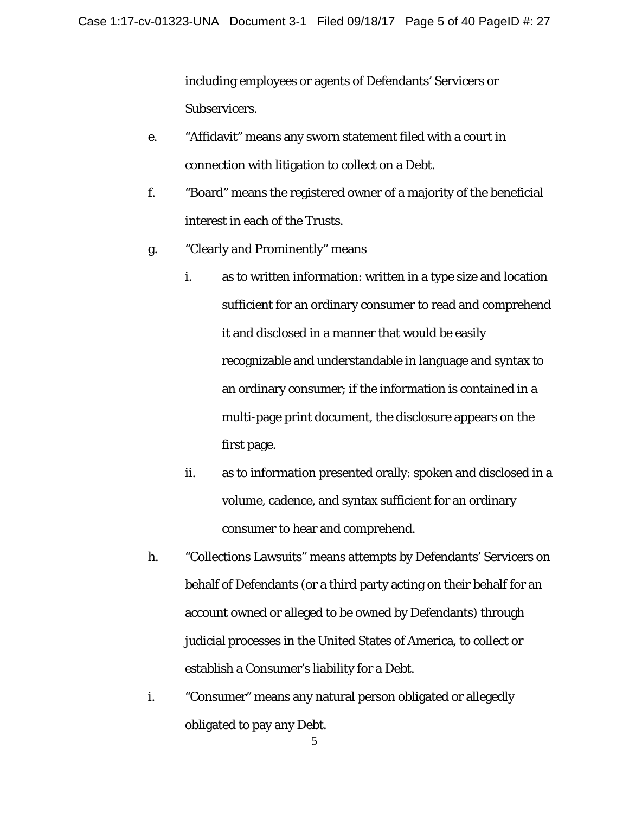including employees or agents of Defendants' Servicers or Subservicers.

- e. "Affidavit" means any sworn statement filed with a court in connection with litigation to collect on a Debt.
- f. "Board" means the registered owner of a majority of the beneficial interest in each of the Trusts.
- g. "Clearly and Prominently" means
	- i. as to written information: written in a type size and location sufficient for an ordinary consumer to read and comprehend it and disclosed in a manner that would be easily recognizable and understandable in language and syntax to an ordinary consumer; if the information is contained in a multi-page print document, the disclosure appears on the first page.
	- ii. as to information presented orally: spoken and disclosed in a volume, cadence, and syntax sufficient for an ordinary consumer to hear and comprehend.
- h. "Collections Lawsuits" means attempts by Defendants' Servicers on behalf of Defendants (or a third party acting on their behalf for an account owned or alleged to be owned by Defendants) through judicial processes in the United States of America, to collect or establish a Consumer's liability for a Debt.
- i. "Consumer" means any natural person obligated or allegedly obligated to pay any Debt.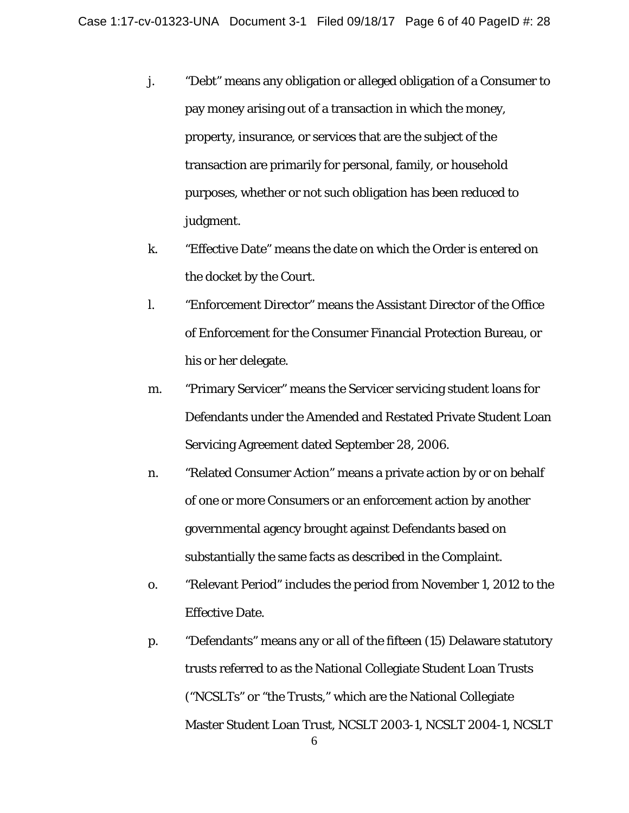- j. "Debt" means any obligation or alleged obligation of a Consumer to pay money arising out of a transaction in which the money, property, insurance, or services that are the subject of the transaction are primarily for personal, family, or household purposes, whether or not such obligation has been reduced to judgment.
- k. "Effective Date" means the date on which the Order is entered on the docket by the Court.
- l. "Enforcement Director" means the Assistant Director of the Office of Enforcement for the Consumer Financial Protection Bureau, or his or her delegate.
- m. "Primary Servicer" means the Servicer servicing student loans for Defendants under the Amended and Restated Private Student Loan Servicing Agreement dated September 28, 2006.
- n. "Related Consumer Action" means a private action by or on behalf of one or more Consumers or an enforcement action by another governmental agency brought against Defendants based on substantially the same facts as described in the Complaint.
- o. "Relevant Period" includes the period from November 1, 2012 to the Effective Date.
- p. "Defendants" means any or all of the fifteen (15) Delaware statutory trusts referred to as the National Collegiate Student Loan Trusts ("NCSLTs" or "the Trusts," which are the National Collegiate Master Student Loan Trust, NCSLT 2003-1, NCSLT 2004-1, NCSLT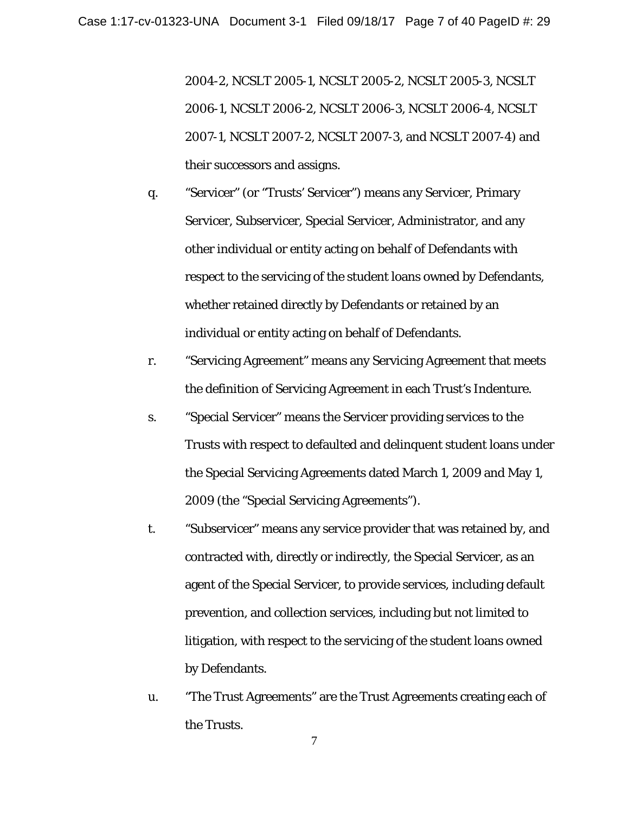2004-2, NCSLT 2005-1, NCSLT 2005-2, NCSLT 2005-3, NCSLT 2006-1, NCSLT 2006-2, NCSLT 2006-3, NCSLT 2006-4, NCSLT 2007-1, NCSLT 2007-2, NCSLT 2007-3, and NCSLT 2007-4) and their successors and assigns.

- q. "Servicer" (or "Trusts' Servicer") means any Servicer, Primary Servicer, Subservicer, Special Servicer, Administrator, and any other individual or entity acting on behalf of Defendants with respect to the servicing of the student loans owned by Defendants, whether retained directly by Defendants or retained by an individual or entity acting on behalf of Defendants.
- r. "Servicing Agreement" means any Servicing Agreement that meets the definition of Servicing Agreement in each Trust's Indenture.
- s. "Special Servicer" means the Servicer providing services to the Trusts with respect to defaulted and delinquent student loans under the Special Servicing Agreements dated March 1, 2009 and May 1, 2009 (the "Special Servicing Agreements").
- t. "Subservicer" means any service provider that was retained by, and contracted with, directly or indirectly, the Special Servicer, as an agent of the Special Servicer, to provide services, including default prevention, and collection services, including but not limited to litigation, with respect to the servicing of the student loans owned by Defendants.
- u. "The Trust Agreements" are the Trust Agreements creating each of the Trusts.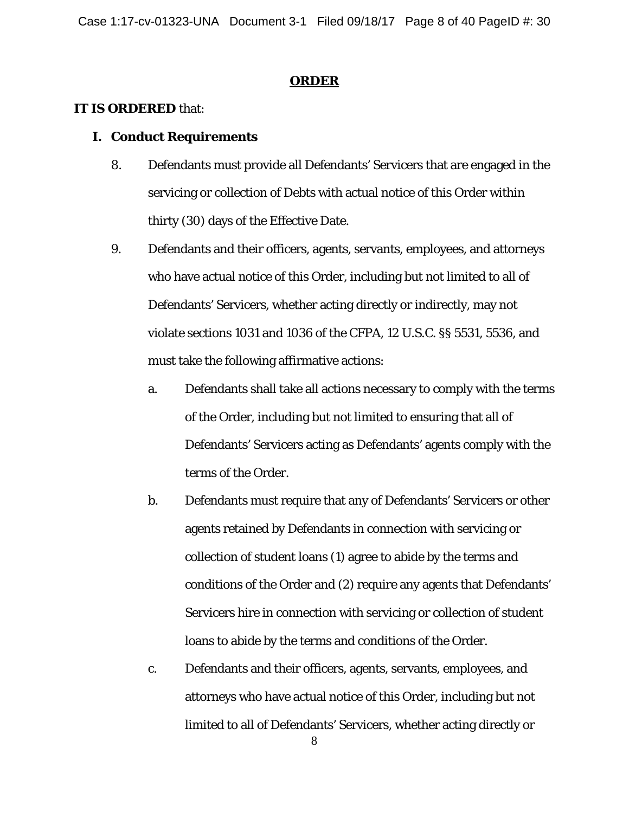#### **ORDER**

### **IT IS ORDERED** that:

### **I. Conduct Requirements**

- 8. Defendants must provide all Defendants' Servicers that are engaged in the servicing or collection of Debts with actual notice of this Order within thirty (30) days of the Effective Date.
- 9. Defendants and their officers, agents, servants, employees, and attorneys who have actual notice of this Order*,* including but not limited to all of Defendants' Servicers, whether acting directly or indirectly, may not violate sections 1031 and 1036 of the CFPA, 12 U.S.C. §§ 5531, 5536, and must take the following affirmative actions:
	- a. Defendants shall take all actions necessary to comply with the terms of the Order, including but not limited to ensuring that all of Defendants' Servicers acting as Defendants' agents comply with the terms of the Order.
	- b. Defendants must require that any of Defendants' Servicers or other agents retained by Defendants in connection with servicing or collection of student loans (1) agree to abide by the terms and conditions of the Order and (2) require any agents that Defendants' Servicers hire in connection with servicing or collection of student loans to abide by the terms and conditions of the Order.
	- c. Defendants and their officers, agents, servants, employees, and attorneys who have actual notice of this Order*,* including but not limited to all of Defendants' Servicers, whether acting directly or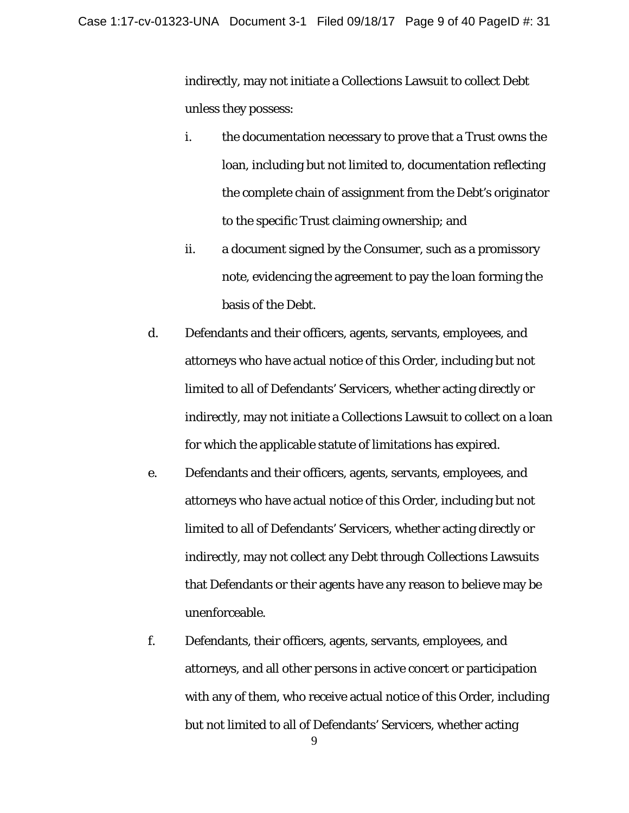indirectly, may not initiate a Collections Lawsuit to collect Debt unless they possess:

- i. the documentation necessary to prove that a Trust owns the loan, including but not limited to, documentation reflecting the complete chain of assignment from the Debt's originator to the specific Trust claiming ownership; and
- ii. a document signed by the Consumer, such as a promissory note, evidencing the agreement to pay the loan forming the basis of the Debt.
- d. Defendants and their officers, agents, servants, employees, and attorneys who have actual notice of this Order*,* including but not limited to all of Defendants' Servicers, whether acting directly or indirectly, may not initiate a Collections Lawsuit to collect on a loan for which the applicable statute of limitations has expired.
- e. Defendants and their officers, agents, servants, employees, and attorneys who have actual notice of this Order*,* including but not limited to all of Defendants' Servicers, whether acting directly or indirectly, may not collect any Debt through Collections Lawsuits that Defendants or their agents have any reason to believe may be unenforceable.
- f. Defendants, their officers, agents, servants, employees, and attorneys, and all other persons in active concert or participation with any of them, who receive actual notice of this Order, including but not limited to all of Defendants' Servicers, whether acting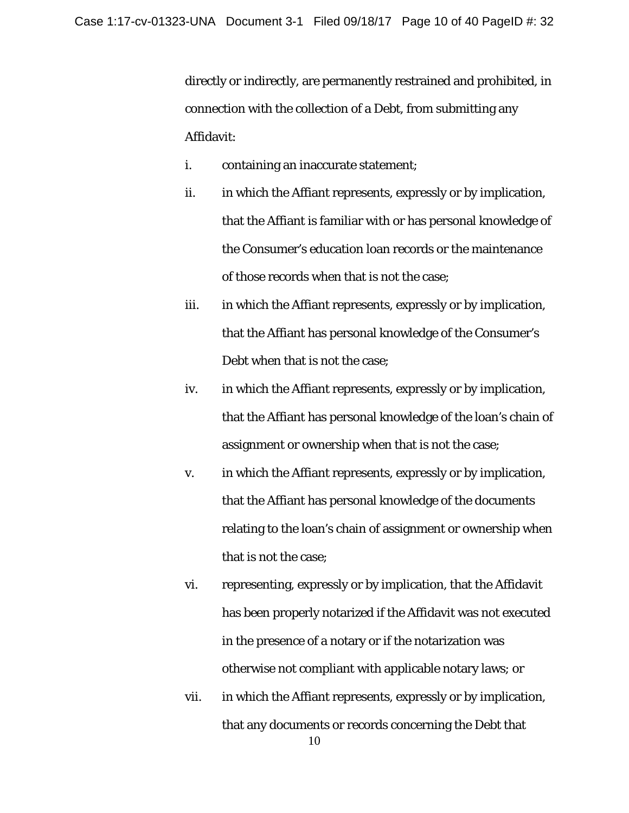directly or indirectly, are permanently restrained and prohibited, in connection with the collection of a Debt, from submitting any Affidavit:

- i. containing an inaccurate statement;
- ii. in which the Affiant represents, expressly or by implication, that the Affiant is familiar with or has personal knowledge of the Consumer's education loan records or the maintenance of those records when that is not the case;
- iii. in which the Affiant represents, expressly or by implication, that the Affiant has personal knowledge of the Consumer's Debt when that is not the case;
- iv. in which the Affiant represents, expressly or by implication, that the Affiant has personal knowledge of the loan's chain of assignment or ownership when that is not the case;
- v. in which the Affiant represents, expressly or by implication, that the Affiant has personal knowledge of the documents relating to the loan's chain of assignment or ownership when that is not the case;
- vi. representing, expressly or by implication, that the Affidavit has been properly notarized if the Affidavit was not executed in the presence of a notary or if the notarization was otherwise not compliant with applicable notary laws; or
- vii. in which the Affiant represents, expressly or by implication, that any documents or records concerning the Debt that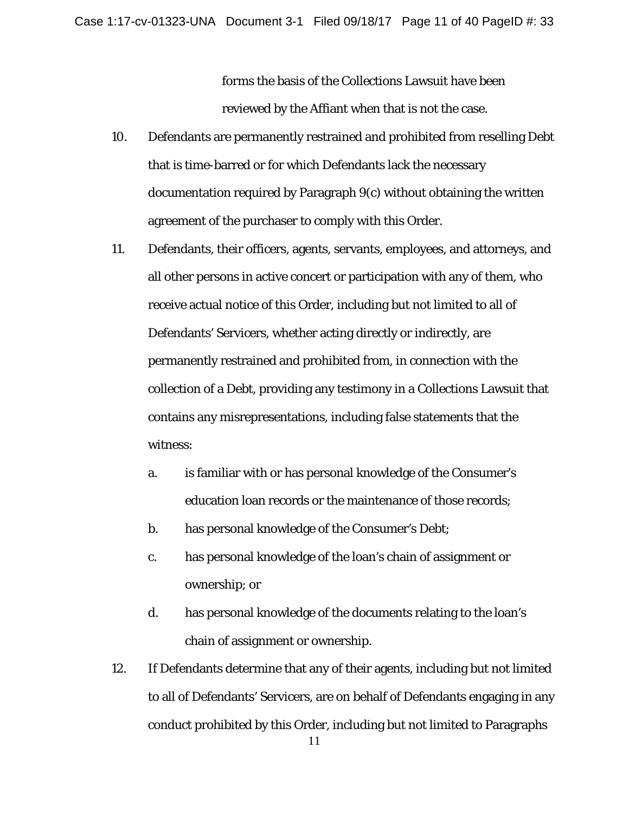forms the basis of the Collections Lawsuit have been reviewed by the Affiant when that is not the case.

- 10. Defendants are permanently restrained and prohibited from reselling Debt that is time-barred or for which Defendants lack the necessary documentation required by Paragraph 9(c) without obtaining the written agreement of the purchaser to comply with this Order.
- 11. Defendants, their officers, agents, servants, employees, and attorneys, and all other persons in active concert or participation with any of them, who receive actual notice of this Order, including but not limited to all of Defendants' Servicers, whether acting directly or indirectly, are permanently restrained and prohibited from, in connection with the collection of a Debt, providing any testimony in a Collections Lawsuit that contains any misrepresentations, including false statements that the witness:
	- a. is familiar with or has personal knowledge of the Consumer's education loan records or the maintenance of those records;
	- b. has personal knowledge of the Consumer's Debt;
	- c. has personal knowledge of the loan's chain of assignment or ownership; or
	- d. has personal knowledge of the documents relating to the loan's chain of assignment or ownership.
- 12. If Defendants determine that any of their agents, including but not limited to all of Defendants' Servicers, are on behalf of Defendants engaging in any conduct prohibited by this Order, including but not limited to Paragraphs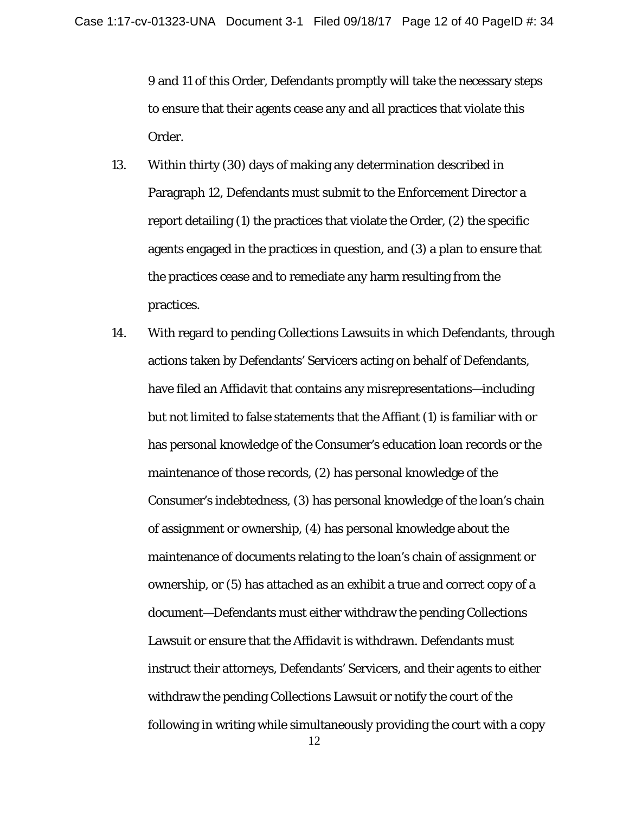9 and 11 of this Order, Defendants promptly will take the necessary steps to ensure that their agents cease any and all practices that violate this Order.

- 13. Within thirty (30) days of making any determination described in Paragraph 12, Defendants must submit to the Enforcement Director a report detailing (1) the practices that violate the Order, (2) the specific agents engaged in the practices in question, and (3) a plan to ensure that the practices cease and to remediate any harm resulting from the practices.
- 14. With regard to pending Collections Lawsuits in which Defendants, through actions taken by Defendants' Servicers acting on behalf of Defendants, have filed an Affidavit that contains any misrepresentations—including but not limited to false statements that the Affiant (1) is familiar with or has personal knowledge of the Consumer's education loan records or the maintenance of those records, (2) has personal knowledge of the Consumer's indebtedness, (3) has personal knowledge of the loan's chain of assignment or ownership, (4) has personal knowledge about the maintenance of documents relating to the loan's chain of assignment or ownership, or (5) has attached as an exhibit a true and correct copy of a document—Defendants must either withdraw the pending Collections Lawsuit or ensure that the Affidavit is withdrawn. Defendants must instruct their attorneys, Defendants' Servicers, and their agents to either withdraw the pending Collections Lawsuit or notify the court of the following in writing while simultaneously providing the court with a copy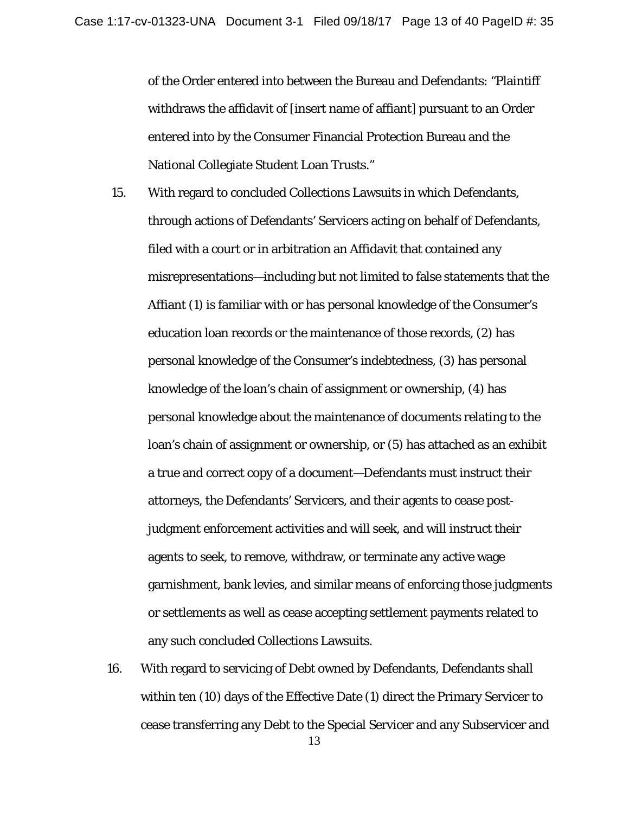of the Order entered into between the Bureau and Defendants: "Plaintiff withdraws the affidavit of [insert name of affiant] pursuant to an Order entered into by the Consumer Financial Protection Bureau and the National Collegiate Student Loan Trusts."

- 15. With regard to concluded Collections Lawsuits in which Defendants, through actions of Defendants' Servicers acting on behalf of Defendants, filed with a court or in arbitration an Affidavit that contained any misrepresentations—including but not limited to false statements that the Affiant (1) is familiar with or has personal knowledge of the Consumer's education loan records or the maintenance of those records, (2) has personal knowledge of the Consumer's indebtedness, (3) has personal knowledge of the loan's chain of assignment or ownership, (4) has personal knowledge about the maintenance of documents relating to the loan's chain of assignment or ownership, or (5) has attached as an exhibit a true and correct copy of a document—Defendants must instruct their attorneys, the Defendants' Servicers, and their agents to cease postjudgment enforcement activities and will seek, and will instruct their agents to seek, to remove, withdraw, or terminate any active wage garnishment, bank levies, and similar means of enforcing those judgments or settlements as well as cease accepting settlement payments related to any such concluded Collections Lawsuits.
- 16. With regard to servicing of Debt owned by Defendants, Defendants shall within ten (10) days of the Effective Date (1) direct the Primary Servicer to cease transferring any Debt to the Special Servicer and any Subservicer and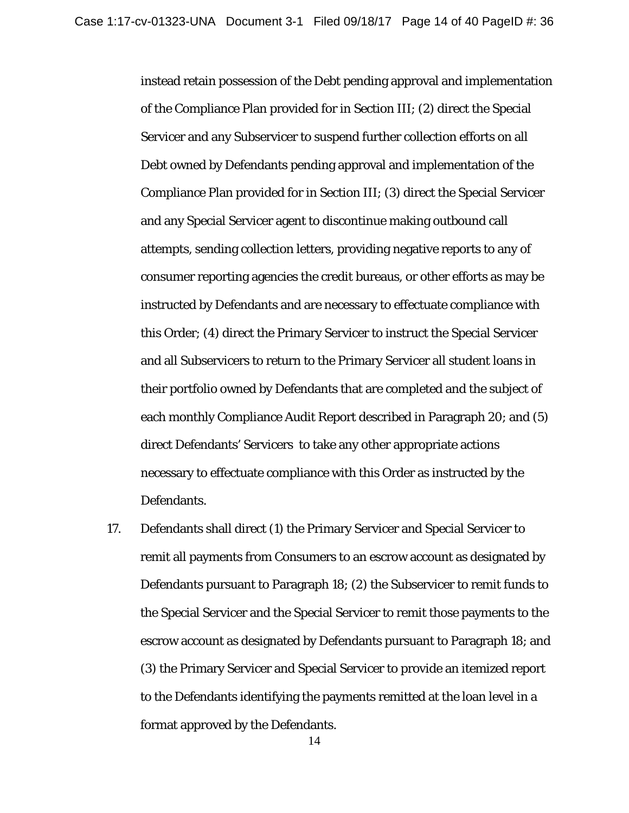instead retain possession of the Debt pending approval and implementation of the Compliance Plan provided for in Section III; (2) direct the Special Servicer and any Subservicer to suspend further collection efforts on all Debt owned by Defendants pending approval and implementation of the Compliance Plan provided for in Section III; (3) direct the Special Servicer and any Special Servicer agent to discontinue making outbound call attempts, sending collection letters, providing negative reports to any of consumer reporting agencies the credit bureaus, or other efforts as may be instructed by Defendants and are necessary to effectuate compliance with this Order; (4) direct the Primary Servicer to instruct the Special Servicer and all Subservicers to return to the Primary Servicer all student loans in their portfolio owned by Defendants that are completed and the subject of each monthly Compliance Audit Report described in Paragraph 20; and (5) direct Defendants' Servicers to take any other appropriate actions necessary to effectuate compliance with this Order as instructed by the Defendants.

17. Defendants shall direct (1) the Primary Servicer and Special Servicer to remit all payments from Consumers to an escrow account as designated by Defendants pursuant to Paragraph 18; (2) the Subservicer to remit funds to the Special Servicer and the Special Servicer to remit those payments to the escrow account as designated by Defendants pursuant to Paragraph 18; and (3) the Primary Servicer and Special Servicer to provide an itemized report to the Defendants identifying the payments remitted at the loan level in a format approved by the Defendants.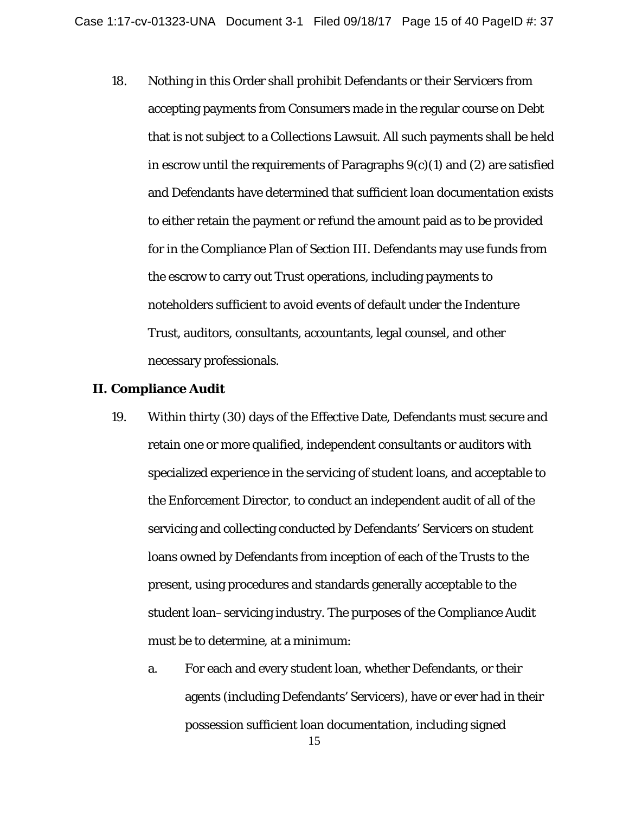18. Nothing in this Order shall prohibit Defendants or their Servicers from accepting payments from Consumers made in the regular course on Debt that is not subject to a Collections Lawsuit. All such payments shall be held in escrow until the requirements of Paragraphs  $9(c)(1)$  and  $(2)$  are satisfied and Defendants have determined that sufficient loan documentation exists to either retain the payment or refund the amount paid as to be provided for in the Compliance Plan of Section III. Defendants may use funds from the escrow to carry out Trust operations, including payments to noteholders sufficient to avoid events of default under the Indenture Trust, auditors, consultants, accountants, legal counsel, and other necessary professionals.

#### **II. Compliance Audit**

- 19. Within thirty (30) days of the Effective Date, Defendants must secure and retain one or more qualified, independent consultants or auditors with specialized experience in the servicing of student loans, and acceptable to the Enforcement Director, to conduct an independent audit of all of the servicing and collecting conducted by Defendants' Servicers on student loans owned by Defendants from inception of each of the Trusts to the present, using procedures and standards generally acceptable to the student loan–servicing industry. The purposes of the Compliance Audit must be to determine, at a minimum:
	- a. For each and every student loan, whether Defendants, or their agents (including Defendants' Servicers), have or ever had in their possession sufficient loan documentation, including signed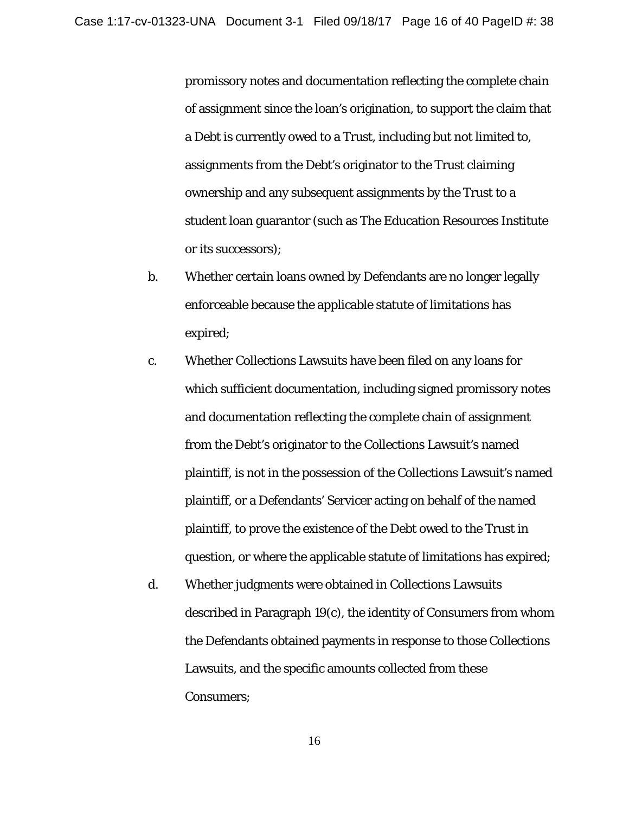promissory notes and documentation reflecting the complete chain of assignment since the loan's origination, to support the claim that a Debt is currently owed to a Trust, including but not limited to, assignments from the Debt's originator to the Trust claiming ownership and any subsequent assignments by the Trust to a student loan guarantor (such as The Education Resources Institute or its successors);

- b. Whether certain loans owned by Defendants are no longer legally enforceable because the applicable statute of limitations has expired;
- c. Whether Collections Lawsuits have been filed on any loans for which sufficient documentation, including signed promissory notes and documentation reflecting the complete chain of assignment from the Debt's originator to the Collections Lawsuit's named plaintiff, is not in the possession of the Collections Lawsuit's named plaintiff, or a Defendants' Servicer acting on behalf of the named plaintiff, to prove the existence of the Debt owed to the Trust in question, or where the applicable statute of limitations has expired;
- d. Whether judgments were obtained in Collections Lawsuits described in Paragraph 19(c), the identity of Consumers from whom the Defendants obtained payments in response to those Collections Lawsuits, and the specific amounts collected from these Consumers;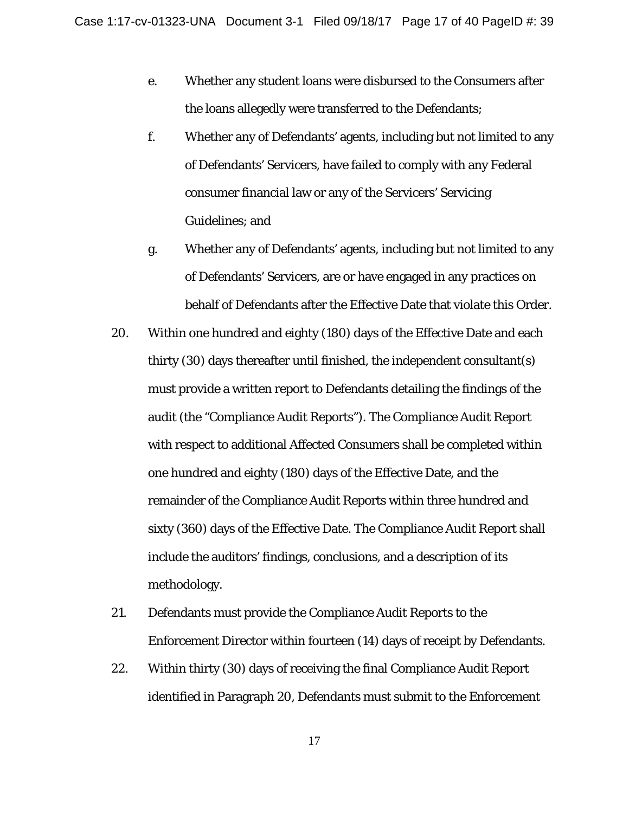- e. Whether any student loans were disbursed to the Consumers after the loans allegedly were transferred to the Defendants;
- f. Whether any of Defendants' agents, including but not limited to any of Defendants' Servicers, have failed to comply with any Federal consumer financial law or any of the Servicers' Servicing Guidelines; and
- g. Whether any of Defendants' agents, including but not limited to any of Defendants' Servicers, are or have engaged in any practices on behalf of Defendants after the Effective Date that violate this Order.
- 20. Within one hundred and eighty (180) days of the Effective Date and each thirty (30) days thereafter until finished, the independent consultant(s) must provide a written report to Defendants detailing the findings of the audit (the "Compliance Audit Reports"). The Compliance Audit Report with respect to additional Affected Consumers shall be completed within one hundred and eighty (180) days of the Effective Date, and the remainder of the Compliance Audit Reports within three hundred and sixty (360) days of the Effective Date. The Compliance Audit Report shall include the auditors' findings, conclusions, and a description of its methodology.
- 21. Defendants must provide the Compliance Audit Reports to the Enforcement Director within fourteen (14) days of receipt by Defendants.
- 22. Within thirty (30) days of receiving the final Compliance Audit Report identified in Paragraph 20, Defendants must submit to the Enforcement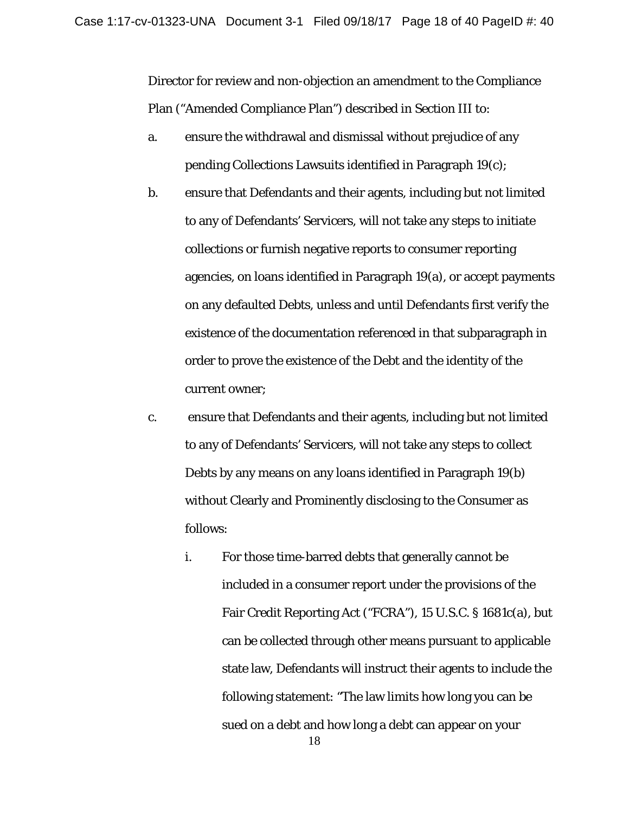Director for review and non-objection an amendment to the Compliance Plan ("Amended Compliance Plan") described in Section III to:

- a. ensure the withdrawal and dismissal without prejudice of any pending Collections Lawsuits identified in Paragraph 19(c);
- b. ensure that Defendants and their agents, including but not limited to any of Defendants' Servicers, will not take any steps to initiate collections or furnish negative reports to consumer reporting agencies, on loans identified in Paragraph 19(a), or accept payments on any defaulted Debts, unless and until Defendants first verify the existence of the documentation referenced in that subparagraph in order to prove the existence of the Debt and the identity of the current owner;
- c. ensure that Defendants and their agents, including but not limited to any of Defendants' Servicers, will not take any steps to collect Debts by any means on any loans identified in Paragraph 19(b) without Clearly and Prominently disclosing to the Consumer as follows:
	- i. For those time-barred debts that generally cannot be included in a consumer report under the provisions of the Fair Credit Reporting Act ("FCRA"), 15 U.S.C. § 1681c(a), but can be collected through other means pursuant to applicable state law, Defendants will instruct their agents to include the following statement: "The law limits how long you can be sued on a debt and how long a debt can appear on your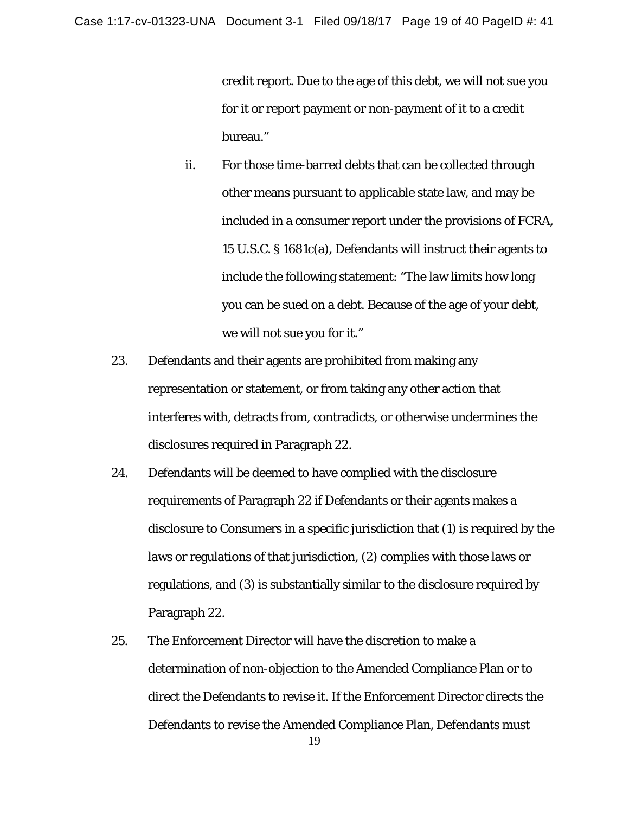credit report. Due to the age of this debt, we will not sue you for it or report payment or non-payment of it to a credit bureau."

- ii. For those time-barred debts that can be collected through other means pursuant to applicable state law, and may be included in a consumer report under the provisions of FCRA, 15 U.S.C. § 1681c(a), Defendants will instruct their agents to include the following statement: "The law limits how long you can be sued on a debt. Because of the age of your debt, we will not sue you for it."
- 23. Defendants and their agents are prohibited from making any representation or statement, or from taking any other action that interferes with, detracts from, contradicts, or otherwise undermines the disclosures required in Paragraph 22.
- 24. Defendants will be deemed to have complied with the disclosure requirements of Paragraph 22 if Defendants or their agents makes a disclosure to Consumers in a specific jurisdiction that (1) is required by the laws or regulations of that jurisdiction, (2) complies with those laws or regulations, and (3) is substantially similar to the disclosure required by Paragraph 22.
- 25. The Enforcement Director will have the discretion to make a determination of non-objection to the Amended Compliance Plan or to direct the Defendants to revise it. If the Enforcement Director directs the Defendants to revise the Amended Compliance Plan, Defendants must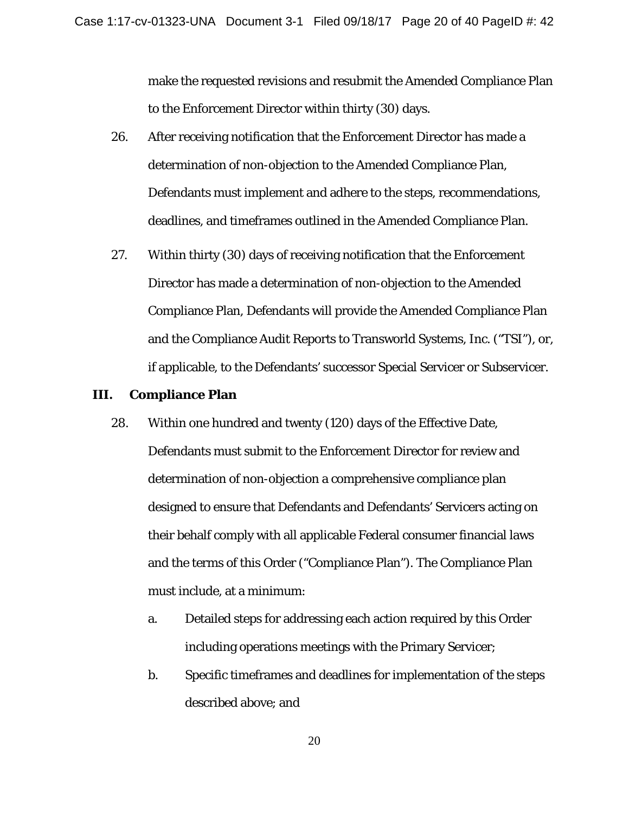make the requested revisions and resubmit the Amended Compliance Plan to the Enforcement Director within thirty (30) days.

- 26. After receiving notification that the Enforcement Director has made a determination of non-objection to the Amended Compliance Plan, Defendants must implement and adhere to the steps, recommendations, deadlines, and timeframes outlined in the Amended Compliance Plan.
- 27. Within thirty (30) days of receiving notification that the Enforcement Director has made a determination of non-objection to the Amended Compliance Plan, Defendants will provide the Amended Compliance Plan and the Compliance Audit Reports to Transworld Systems, Inc. ("TSI"), or, if applicable, to the Defendants' successor Special Servicer or Subservicer.

### **III. Compliance Plan**

- 28. Within one hundred and twenty (120) days of the Effective Date, Defendants must submit to the Enforcement Director for review and determination of non-objection a comprehensive compliance plan designed to ensure that Defendants and Defendants' Servicers acting on their behalf comply with all applicable Federal consumer financial laws and the terms of this Order ("Compliance Plan"). The Compliance Plan must include, at a minimum:
	- a. Detailed steps for addressing each action required by this Order including operations meetings with the Primary Servicer;
	- b. Specific timeframes and deadlines for implementation of the steps described above; and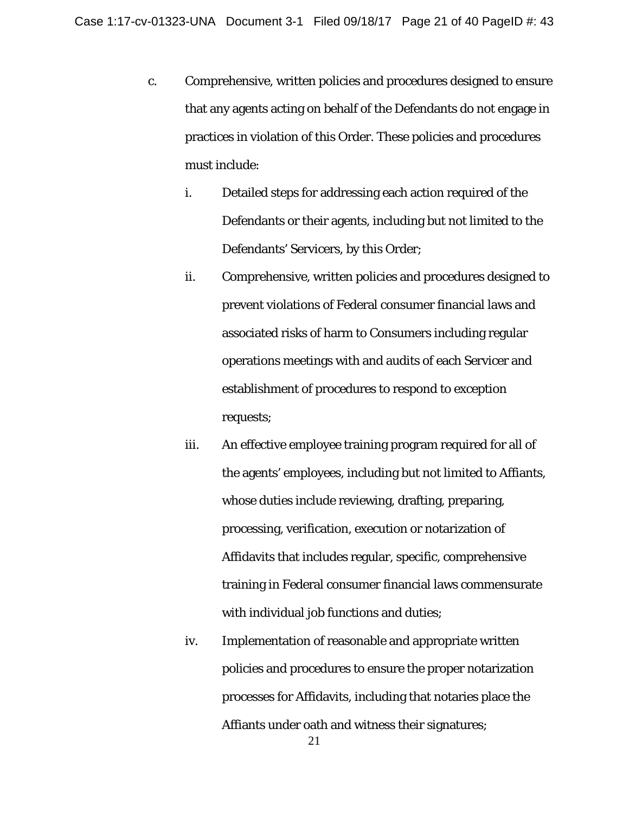- c. Comprehensive, written policies and procedures designed to ensure that any agents acting on behalf of the Defendants do not engage in practices in violation of this Order. These policies and procedures must include:
	- i. Detailed steps for addressing each action required of the Defendants or their agents, including but not limited to the Defendants' Servicers, by this Order;
	- ii. Comprehensive, written policies and procedures designed to prevent violations of Federal consumer financial laws and associated risks of harm to Consumers including regular operations meetings with and audits of each Servicer and establishment of procedures to respond to exception requests;
	- iii. An effective employee training program required for all of the agents' employees, including but not limited to Affiants, whose duties include reviewing, drafting, preparing, processing, verification, execution or notarization of Affidavits that includes regular, specific, comprehensive training in Federal consumer financial laws commensurate with individual job functions and duties;
	- iv. Implementation of reasonable and appropriate written policies and procedures to ensure the proper notarization processes for Affidavits, including that notaries place the Affiants under oath and witness their signatures;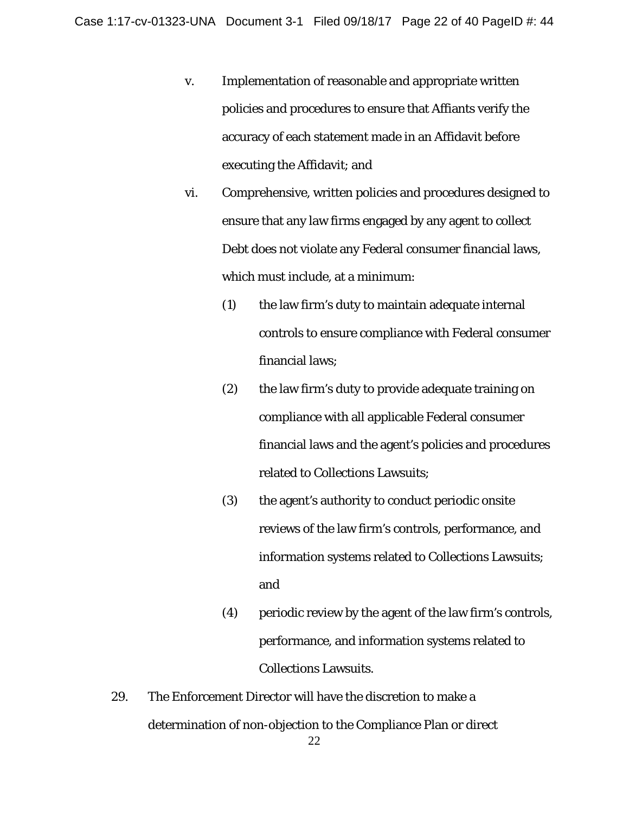- v. Implementation of reasonable and appropriate written policies and procedures to ensure that Affiants verify the accuracy of each statement made in an Affidavit before executing the Affidavit; and
- vi. Comprehensive, written policies and procedures designed to ensure that any law firms engaged by any agent to collect Debt does not violate any Federal consumer financial laws, which must include, at a minimum:
	- (1) the law firm's duty to maintain adequate internal controls to ensure compliance with Federal consumer financial laws;
	- (2) the law firm's duty to provide adequate training on compliance with all applicable Federal consumer financial laws and the agent's policies and procedures related to Collections Lawsuits;
	- (3) the agent's authority to conduct periodic onsite reviews of the law firm's controls, performance, and information systems related to Collections Lawsuits; and
	- (4) periodic review by the agent of the law firm's controls, performance, and information systems related to Collections Lawsuits.
- 29. The Enforcement Director will have the discretion to make a determination of non-objection to the Compliance Plan or direct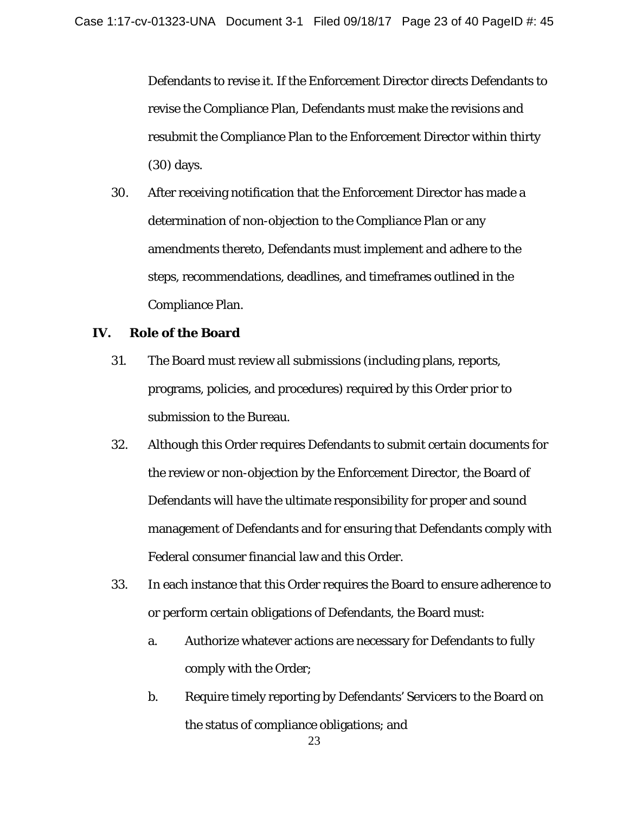Defendants to revise it. If the Enforcement Director directs Defendants to revise the Compliance Plan, Defendants must make the revisions and resubmit the Compliance Plan to the Enforcement Director within thirty (30) days.

30. After receiving notification that the Enforcement Director has made a determination of non-objection to the Compliance Plan or any amendments thereto, Defendants must implement and adhere to the steps, recommendations, deadlines, and timeframes outlined in the Compliance Plan.

### **IV. Role of the Board**

- 31. The Board must review all submissions (including plans, reports, programs, policies, and procedures) required by this Order prior to submission to the Bureau.
- 32. Although this Order requires Defendants to submit certain documents for the review or non-objection by the Enforcement Director, the Board of Defendants will have the ultimate responsibility for proper and sound management of Defendants and for ensuring that Defendants comply with Federal consumer financial law and this Order.
- 33. In each instance that this Order requires the Board to ensure adherence to or perform certain obligations of Defendants, the Board must:
	- a. Authorize whatever actions are necessary for Defendants to fully comply with the Order;
	- b. Require timely reporting by Defendants' Servicers to the Board on the status of compliance obligations; and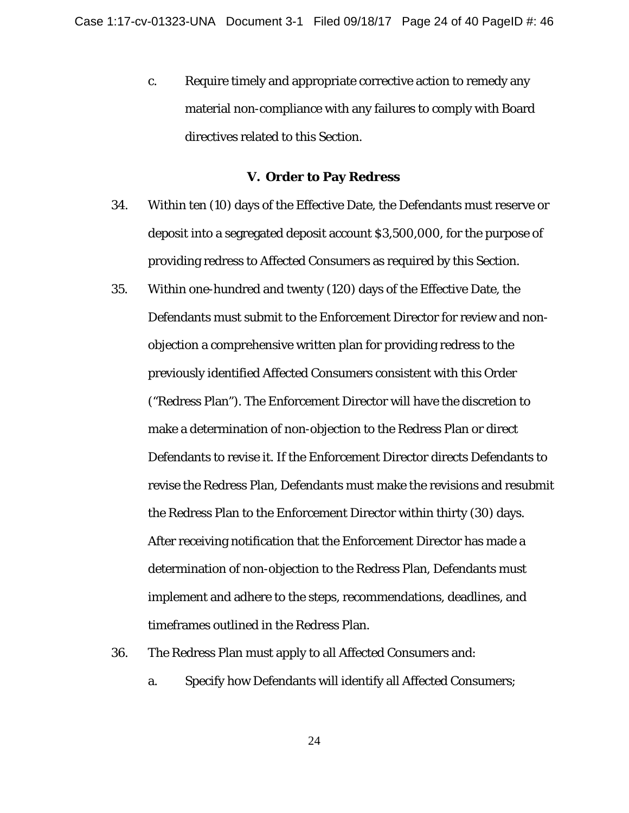*c.* Require timely and appropriate corrective action to remedy any material non-compliance with any failures to comply with Board directives related to this Section.

#### **V. Order to Pay Redress**

- 34. Within ten (10) days of the Effective Date, the Defendants must reserve or deposit into a segregated deposit account \$3,500,000, for the purpose of providing redress to Affected Consumers as required by this Section.
- 35. Within one-hundred and twenty (120) days of the Effective Date, the Defendants must submit to the Enforcement Director for review and nonobjection a comprehensive written plan for providing redress to the previously identified Affected Consumers consistent with this Order ("Redress Plan"). The Enforcement Director will have the discretion to make a determination of non-objection to the Redress Plan or direct Defendants to revise it. If the Enforcement Director directs Defendants to revise the Redress Plan, Defendants must make the revisions and resubmit the Redress Plan to the Enforcement Director within thirty (30) days. After receiving notification that the Enforcement Director has made a determination of non-objection to the Redress Plan, Defendants must implement and adhere to the steps, recommendations, deadlines, and timeframes outlined in the Redress Plan.
- 36. The Redress Plan must apply to all Affected Consumers and:
	- a. Specify how Defendants will identify all Affected Consumers;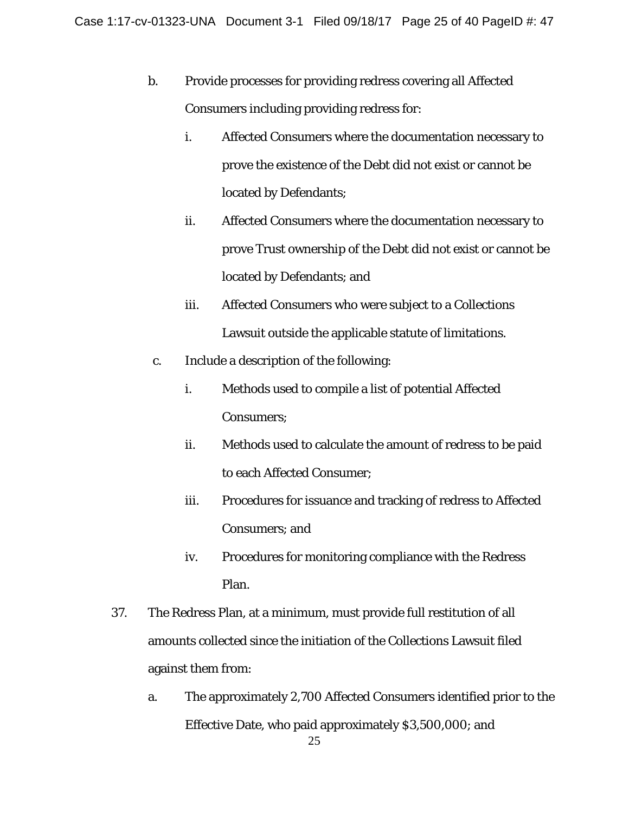- b. Provide processes for providing redress covering all Affected Consumers including providing redress for:
	- i. Affected Consumers where the documentation necessary to prove the existence of the Debt did not exist or cannot be located by Defendants;
	- ii. Affected Consumers where the documentation necessary to prove Trust ownership of the Debt did not exist or cannot be located by Defendants; and
	- iii. Affected Consumers who were subject to a Collections Lawsuit outside the applicable statute of limitations.
- c. Include a description of the following:
	- i. Methods used to compile a list of potential Affected Consumers;
	- ii. Methods used to calculate the amount of redress to be paid to each Affected Consumer;
	- iii. Procedures for issuance and tracking of redress to Affected Consumers; and
	- iv. Procedures for monitoring compliance with the Redress Plan.
- 37. The Redress Plan, at a minimum, must provide full restitution of all amounts collected since the initiation of the Collections Lawsuit filed against them from:
	- a. The approximately 2,700 Affected Consumers identified prior to the Effective Date, who paid approximately \$3,500,000; and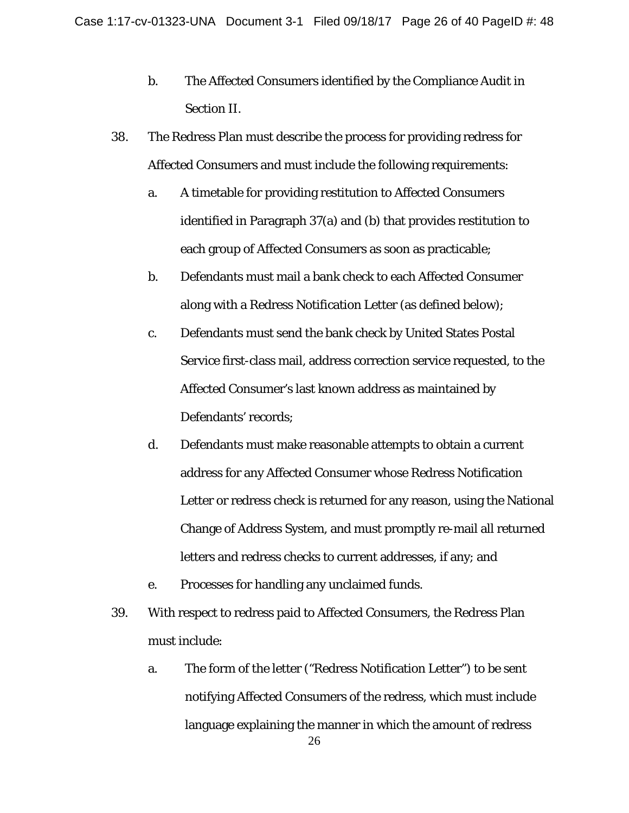- b. The Affected Consumers identified by the Compliance Audit in Section II.
- 38. The Redress Plan must describe the process for providing redress for Affected Consumers and must include the following requirements:
	- a. A timetable for providing restitution to Affected Consumers identified in Paragraph 37(a) and (b) that provides restitution to each group of Affected Consumers as soon as practicable;
	- b. Defendants must mail a bank check to each Affected Consumer along with a Redress Notification Letter (as defined below);
	- c. Defendants must send the bank check by United States Postal Service first-class mail, address correction service requested, to the Affected Consumer's last known address as maintained by Defendants' records;
	- d. Defendants must make reasonable attempts to obtain a current address for any Affected Consumer whose Redress Notification Letter or redress check is returned for any reason, using the National Change of Address System, and must promptly re-mail all returned letters and redress checks to current addresses, if any; and
	- e. Processes for handling any unclaimed funds.
- 39. With respect to redress paid to Affected Consumers, the Redress Plan must include:
	- 26 a. The form of the letter ("Redress Notification Letter") to be sent notifying Affected Consumers of the redress, which must include language explaining the manner in which the amount of redress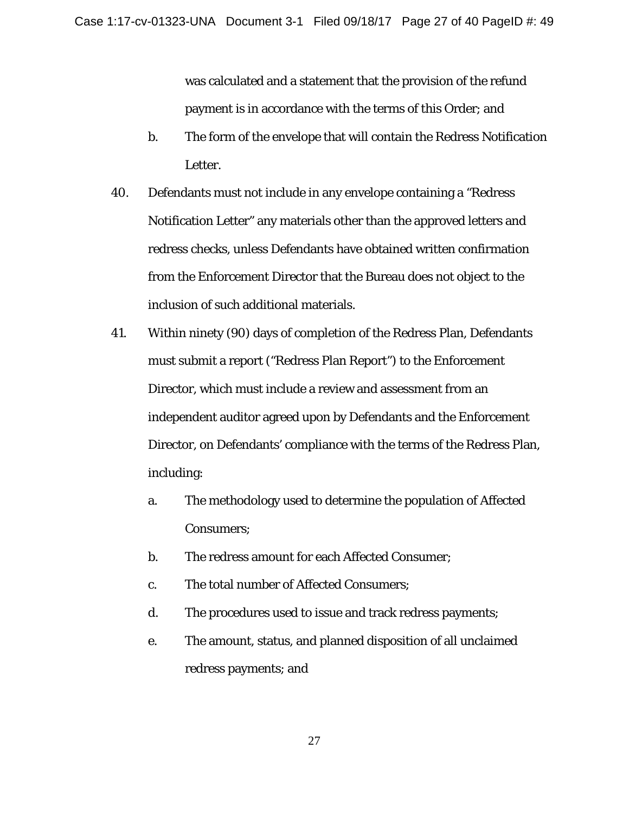was calculated and a statement that the provision of the refund payment is in accordance with the terms of this Order; and

- b. The form of the envelope that will contain the Redress Notification Letter.
- 40. Defendants must not include in any envelope containing a "Redress Notification Letter" any materials other than the approved letters and redress checks, unless Defendants have obtained written confirmation from the Enforcement Director that the Bureau does not object to the inclusion of such additional materials.
- 41. Within ninety (90) days of completion of the Redress Plan, Defendants must submit a report ("Redress Plan Report") to the Enforcement Director, which must include a review and assessment from an independent auditor agreed upon by Defendants and the Enforcement Director, on Defendants' compliance with the terms of the Redress Plan, including:
	- a. The methodology used to determine the population of Affected Consumers;
	- b. The redress amount for each Affected Consumer;
	- c. The total number of Affected Consumers;
	- d. The procedures used to issue and track redress payments;
	- e. The amount, status, and planned disposition of all unclaimed redress payments; and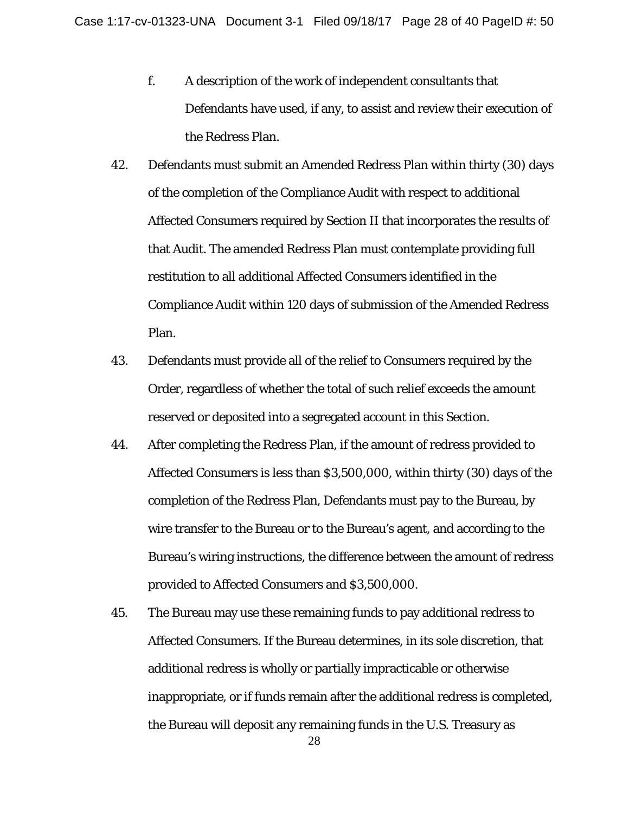- f. A description of the work of independent consultants that Defendants have used, if any, to assist and review their execution of the Redress Plan.
- 42. Defendants must submit an Amended Redress Plan within thirty (30) days of the completion of the Compliance Audit with respect to additional Affected Consumers required by Section II that incorporates the results of that Audit. The amended Redress Plan must contemplate providing full restitution to all additional Affected Consumers identified in the Compliance Audit within 120 days of submission of the Amended Redress Plan.
- 43. Defendants must provide all of the relief to Consumers required by the Order, regardless of whether the total of such relief exceeds the amount reserved or deposited into a segregated account in this Section.
- 44. After completing the Redress Plan, if the amount of redress provided to Affected Consumers is less than \$3,500,000, within thirty (30) days of the completion of the Redress Plan, Defendants must pay to the Bureau, by wire transfer to the Bureau or to the Bureau's agent, and according to the Bureau's wiring instructions, the difference between the amount of redress provided to Affected Consumers and \$3,500,000.
- 45. The Bureau may use these remaining funds to pay additional redress to Affected Consumers. If the Bureau determines, in its sole discretion, that additional redress is wholly or partially impracticable or otherwise inappropriate, or if funds remain after the additional redress is completed, the Bureau will deposit any remaining funds in the U.S. Treasury as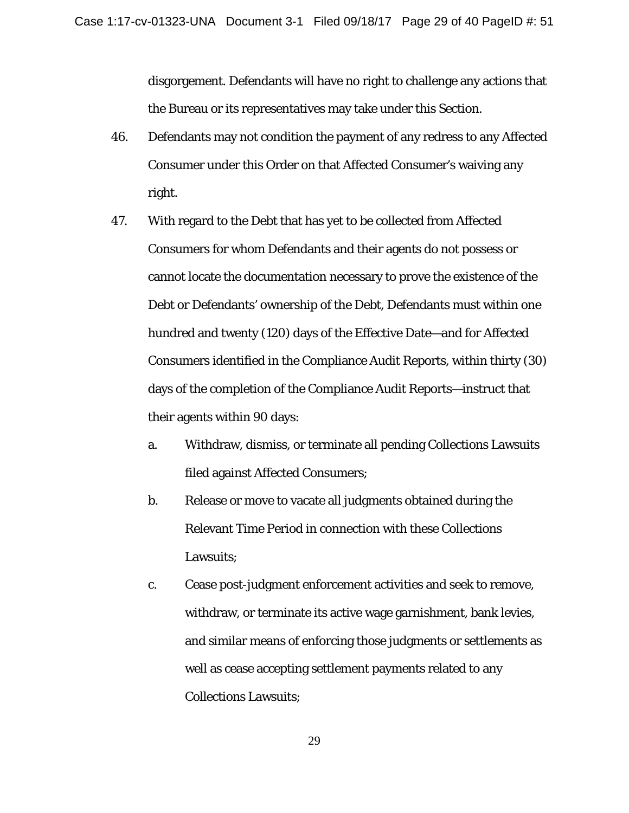disgorgement. Defendants will have no right to challenge any actions that the Bureau or its representatives may take under this Section.

- 46. Defendants may not condition the payment of any redress to any Affected Consumer under this Order on that Affected Consumer's waiving any right.
- 47. With regard to the Debt that has yet to be collected from Affected Consumers for whom Defendants and their agents do not possess or cannot locate the documentation necessary to prove the existence of the Debt or Defendants' ownership of the Debt, Defendants must within one hundred and twenty (120) days of the Effective Date—and for Affected Consumers identified in the Compliance Audit Reports, within thirty (30) days of the completion of the Compliance Audit Reports—instruct that their agents within 90 days:
	- a. Withdraw, dismiss, or terminate all pending Collections Lawsuits filed against Affected Consumers;
	- b. Release or move to vacate all judgments obtained during the Relevant Time Period in connection with these Collections Lawsuits;
	- c. Cease post-judgment enforcement activities and seek to remove, withdraw, or terminate its active wage garnishment, bank levies, and similar means of enforcing those judgments or settlements as well as cease accepting settlement payments related to any Collections Lawsuits;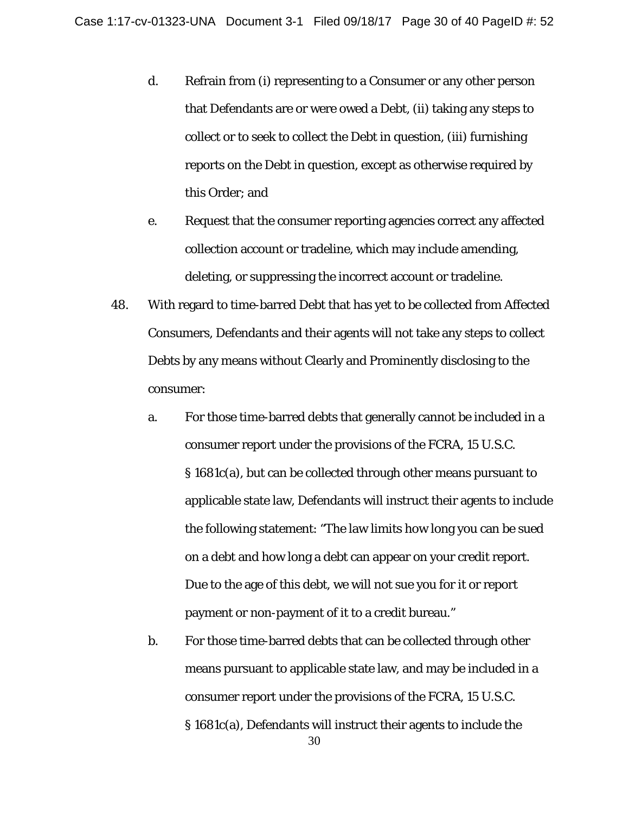- d. Refrain from (i) representing to a Consumer or any other person that Defendants are or were owed a Debt, (ii) taking any steps to collect or to seek to collect the Debt in question, (iii) furnishing reports on the Debt in question, except as otherwise required by this Order; and
- e. Request that the consumer reporting agencies correct any affected collection account or tradeline, which may include amending, deleting, or suppressing the incorrect account or tradeline.
- 48. With regard to time-barred Debt that has yet to be collected from Affected Consumers, Defendants and their agents will not take any steps to collect Debts by any means without Clearly and Prominently disclosing to the consumer:
	- a. For those time-barred debts that generally cannot be included in a consumer report under the provisions of the FCRA, 15 U.S.C. § 1681c(a), but can be collected through other means pursuant to applicable state law, Defendants will instruct their agents to include the following statement: "The law limits how long you can be sued on a debt and how long a debt can appear on your credit report. Due to the age of this debt, we will not sue you for it or report payment or non-payment of it to a credit bureau."
	- b. For those time-barred debts that can be collected through other means pursuant to applicable state law, and may be included in a consumer report under the provisions of the FCRA, 15 U.S.C. § 1681c(a), Defendants will instruct their agents to include the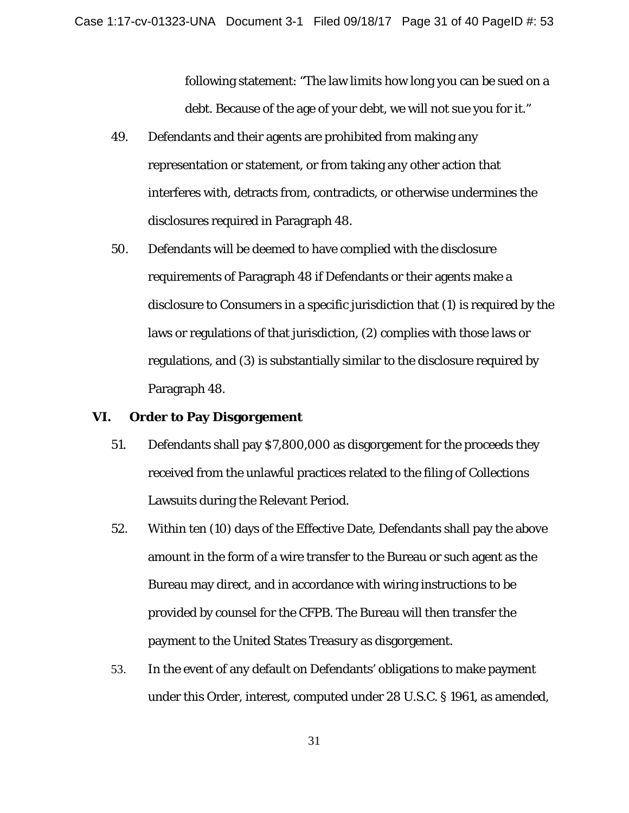following statement: "The law limits how long you can be sued on a debt. Because of the age of your debt, we will not sue you for it."

- 49. Defendants and their agents are prohibited from making any representation or statement, or from taking any other action that interferes with, detracts from, contradicts, or otherwise undermines the disclosures required in Paragraph 48.
- 50. Defendants will be deemed to have complied with the disclosure requirements of Paragraph 48 if Defendants or their agents make a disclosure to Consumers in a specific jurisdiction that (1) is required by the laws or regulations of that jurisdiction, (2) complies with those laws or regulations, and (3) is substantially similar to the disclosure required by Paragraph 48.

#### **VI. Order to Pay Disgorgement**

- 51. Defendants shall pay \$7,800,000 as disgorgement for the proceeds they received from the unlawful practices related to the filing of Collections Lawsuits during the Relevant Period.
- 52. Within ten (10) days of the Effective Date, Defendants shall pay the above amount in the form of a wire transfer to the Bureau or such agent as the Bureau may direct, and in accordance with wiring instructions to be provided by counsel for the CFPB. The Bureau will then transfer the payment to the United States Treasury as disgorgement.
- 53. In the event of any default on Defendants' obligations to make payment under this Order, interest, computed under 28 U.S.C. § 1961, as amended,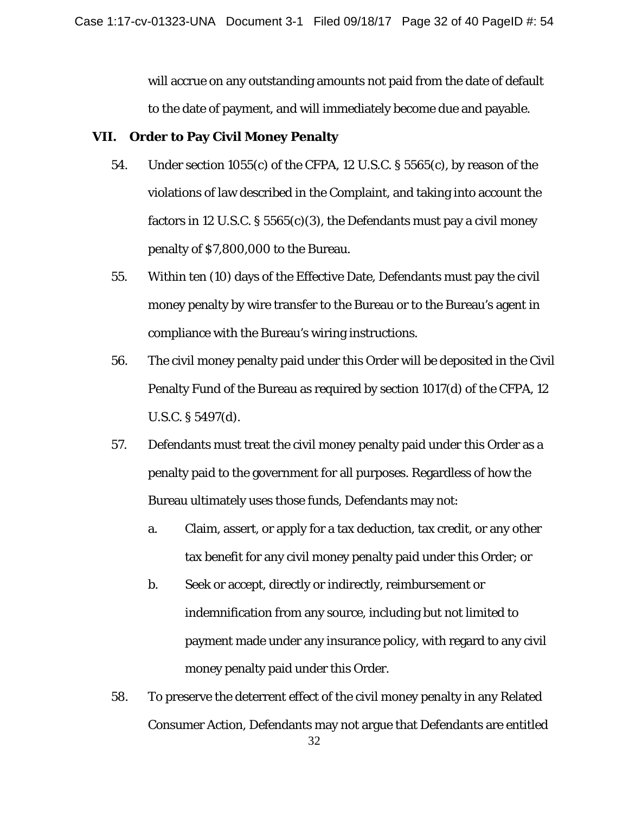will accrue on any outstanding amounts not paid from the date of default to the date of payment, and will immediately become due and payable.

### **VII. Order to Pay Civil Money Penalty**

- 54. Under section 1055(c) of the CFPA, 12 U.S.C. § 5565(c), by reason of the violations of law described in the Complaint, and taking into account the factors in 12 U.S.C.  $\S 5565(c)(3)$ , the Defendants must pay a civil money penalty of \$7,800,000 to the Bureau.
- 55. Within ten (10) days of the Effective Date, Defendants must pay the civil money penalty by wire transfer to the Bureau or to the Bureau's agent in compliance with the Bureau's wiring instructions.
- 56. The civil money penalty paid under this Order will be deposited in the Civil Penalty Fund of the Bureau as required by section 1017(d) of the CFPA, 12 U.S.C. § 5497(d).
- 57. Defendants must treat the civil money penalty paid under this Order as a penalty paid to the government for all purposes. Regardless of how the Bureau ultimately uses those funds, Defendants may not:
	- a. Claim, assert, or apply for a tax deduction, tax credit, or any other tax benefit for any civil money penalty paid under this Order; or
	- b. Seek or accept, directly or indirectly, reimbursement or indemnification from any source, including but not limited to payment made under any insurance policy, with regard to any civil money penalty paid under this Order.
- 58. To preserve the deterrent effect of the civil money penalty in any Related Consumer Action, Defendants may not argue that Defendants are entitled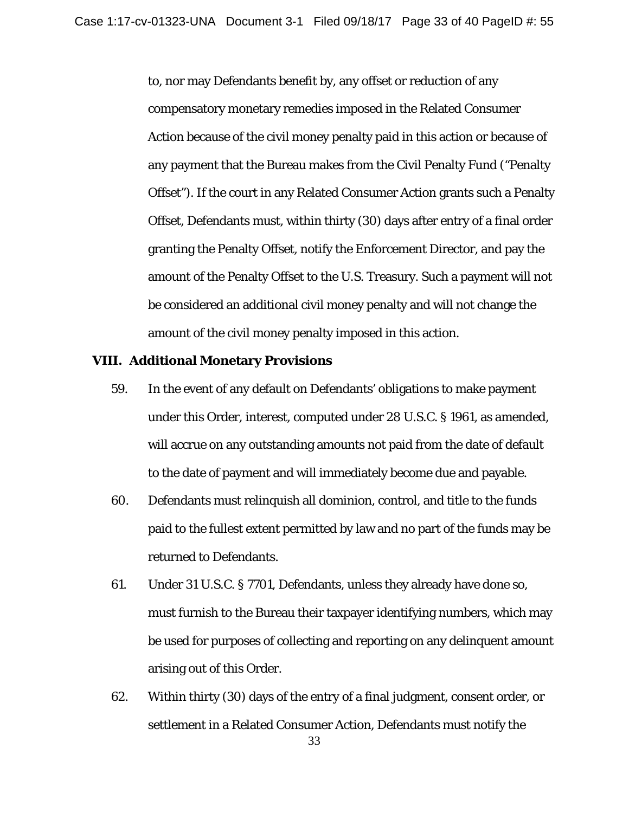to, nor may Defendants benefit by, any offset or reduction of any compensatory monetary remedies imposed in the Related Consumer Action because of the civil money penalty paid in this action or because of any payment that the Bureau makes from the Civil Penalty Fund ("Penalty Offset"). If the court in any Related Consumer Action grants such a Penalty Offset, Defendants must, within thirty (30) days after entry of a final order granting the Penalty Offset, notify the Enforcement Director, and pay the amount of the Penalty Offset to the U.S. Treasury. Such a payment will not be considered an additional civil money penalty and will not change the amount of the civil money penalty imposed in this action.

#### **VIII. Additional Monetary Provisions**

- 59. In the event of any default on Defendants' obligations to make payment under this Order, interest, computed under 28 U.S.C. § 1961, as amended, will accrue on any outstanding amounts not paid from the date of default to the date of payment and will immediately become due and payable.
- 60. Defendants must relinquish all dominion, control, and title to the funds paid to the fullest extent permitted by law and no part of the funds may be returned to Defendants.
- 61. Under 31 U.S.C. § 7701, Defendants, unless they already have done so, must furnish to the Bureau their taxpayer identifying numbers, which may be used for purposes of collecting and reporting on any delinquent amount arising out of this Order.
- 62. Within thirty (30) days of the entry of a final judgment, consent order, or settlement in a Related Consumer Action, Defendants must notify the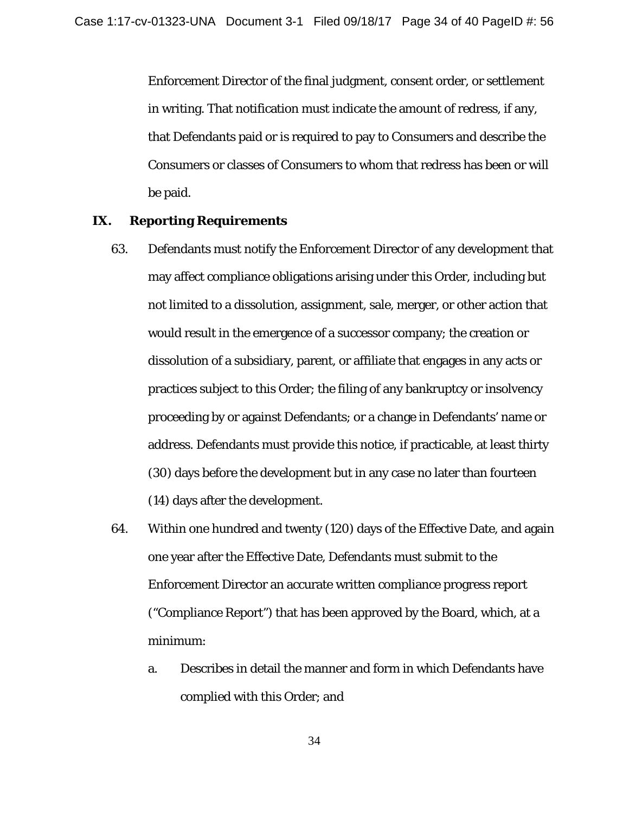Enforcement Director of the final judgment, consent order, or settlement in writing. That notification must indicate the amount of redress, if any, that Defendants paid or is required to pay to Consumers and describe the Consumers or classes of Consumers to whom that redress has been or will be paid.

#### **IX. Reporting Requirements**

- 63. Defendants must notify the Enforcement Director of any development that may affect compliance obligations arising under this Order, including but not limited to a dissolution, assignment, sale, merger, or other action that would result in the emergence of a successor company; the creation or dissolution of a subsidiary, parent, or affiliate that engages in any acts or practices subject to this Order; the filing of any bankruptcy or insolvency proceeding by or against Defendants; or a change in Defendants' name or address. Defendants must provide this notice, if practicable, at least thirty (30) days before the development but in any case no later than fourteen (14) days after the development.
- 64. Within one hundred and twenty (120) days of the Effective Date, and again one year after the Effective Date, Defendants must submit to the Enforcement Director an accurate written compliance progress report ("Compliance Report") that has been approved by the Board, which, at a minimum:
	- a. Describes in detail the manner and form in which Defendants have complied with this Order; and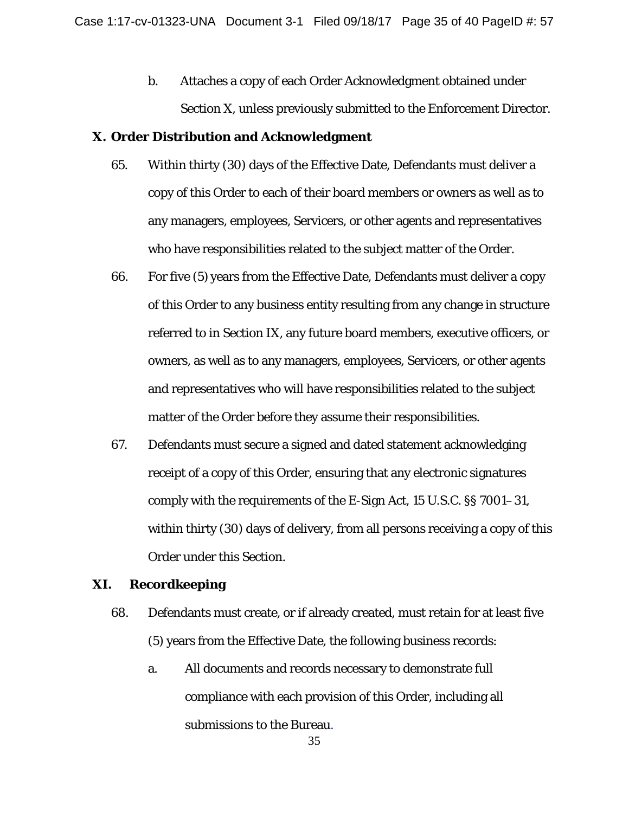b. Attaches a copy of each Order Acknowledgment obtained under Section X, unless previously submitted to the Enforcement Director.

#### **X. Order Distribution and Acknowledgment**

- 65. Within thirty (30) days of the Effective Date, Defendants must deliver a copy of this Order to each of their board members or owners as well as to any managers, employees, Servicers, or other agents and representatives who have responsibilities related to the subject matter of the Order.
- 66. For five (5) years from the Effective Date, Defendants must deliver a copy of this Order to any business entity resulting from any change in structure referred to in Section IX, any future board members, executive officers, or owners, as well as to any managers, employees, Servicers, or other agents and representatives who will have responsibilities related to the subject matter of the Order before they assume their responsibilities.
- 67. Defendants must secure a signed and dated statement acknowledging receipt of a copy of this Order, ensuring that any electronic signatures comply with the requirements of the E-Sign Act, 15 U.S.C. §§ 7001–31, within thirty (30) days of delivery, from all persons receiving a copy of this Order under this Section.

#### **XI. Recordkeeping**

- 68. Defendants must create, or if already created, must retain for at least five (5) years from the Effective Date, the following business records:
	- a. All documents and records necessary to demonstrate full compliance with each provision of this Order, including all submissions to the Bureau.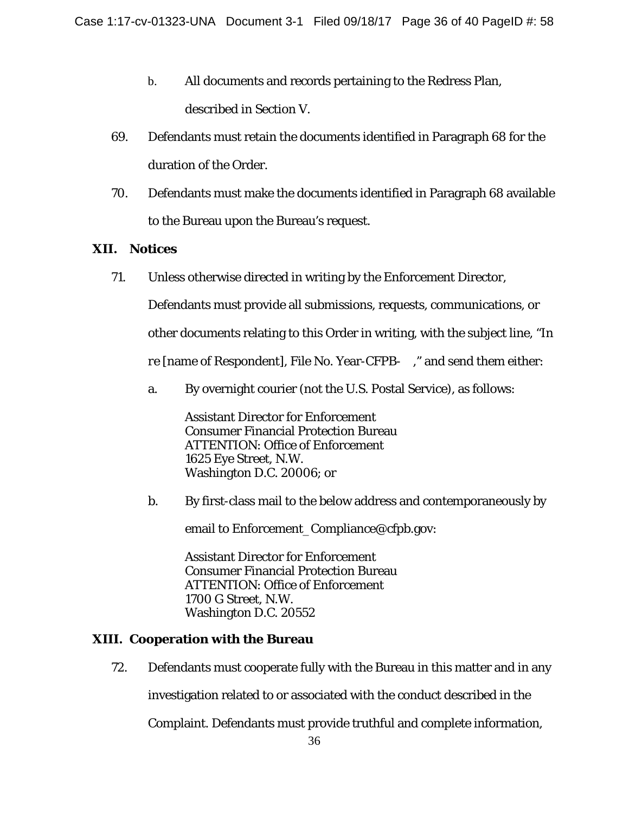- b. All documents and records pertaining to the Redress Plan, described in Section V.
- 69. Defendants must retain the documents identified in Paragraph 68 for the duration of the Order.
- 70. Defendants must make the documents identified in Paragraph 68 available to the Bureau upon the Bureau's request.

## **XII. Notices**

71. Unless otherwise directed in writing by the Enforcement Director,

Defendants must provide all submissions, requests, communications, or

other documents relating to this Order in writing, with the subject line, "*In* 

*re* [name of Respondent], File No. Year-CFPB- ," and send them either:

a. By overnight courier (not the U.S. Postal Service), as follows:

Assistant Director for Enforcement Consumer Financial Protection Bureau ATTENTION: Office of Enforcement 1625 Eye Street, N.W. Washington D.C. 20006; or

b. By first-class mail to the below address and contemporaneously by

email to Enforcement\_Compliance@cfpb.gov:

Assistant Director for Enforcement Consumer Financial Protection Bureau ATTENTION: Office of Enforcement 1700 G Street, N.W. Washington D.C. 20552

## **XIII. Cooperation with the Bureau**

72. Defendants must cooperate fully with the Bureau in this matter and in any

investigation related to or associated with the conduct described in the

Complaint. Defendants must provide truthful and complete information,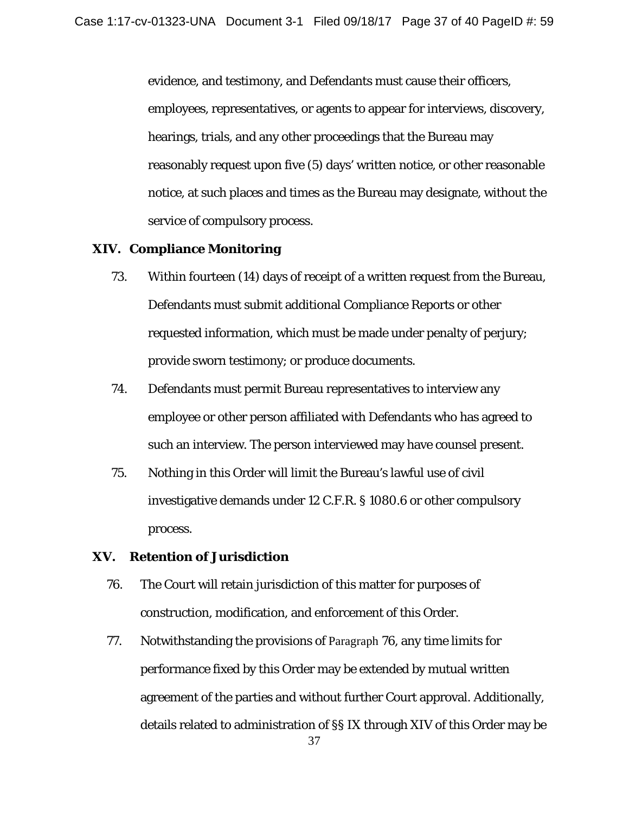evidence, and testimony, and Defendants must cause their officers, employees, representatives, or agents to appear for interviews, discovery, hearings, trials, and any other proceedings that the Bureau may reasonably request upon five (5) days' written notice, or other reasonable notice, at such places and times as the Bureau may designate, without the service of compulsory process.

#### **XIV. Compliance Monitoring**

- 73. Within fourteen (14) days of receipt of a written request from the Bureau, Defendants must submit additional Compliance Reports or other requested information, which must be made under penalty of perjury; provide sworn testimony; or produce documents.
- 74. Defendants must permit Bureau representatives to interview any employee or other person affiliated with Defendants who has agreed to such an interview. The person interviewed may have counsel present.
- 75. Nothing in this Order will limit the Bureau's lawful use of civil investigative demands under 12 C.F.R. § 1080.6 or other compulsory process.

### **XV. Retention of Jurisdiction**

- 76. The Court will retain jurisdiction of this matter for purposes of construction, modification, and enforcement of this Order.
- 77. Notwithstanding the provisions of Paragraph 76, any time limits for performance fixed by this Order may be extended by mutual written agreement of the parties and without further Court approval. Additionally, details related to administration of §§ IX through XIV of this Order may be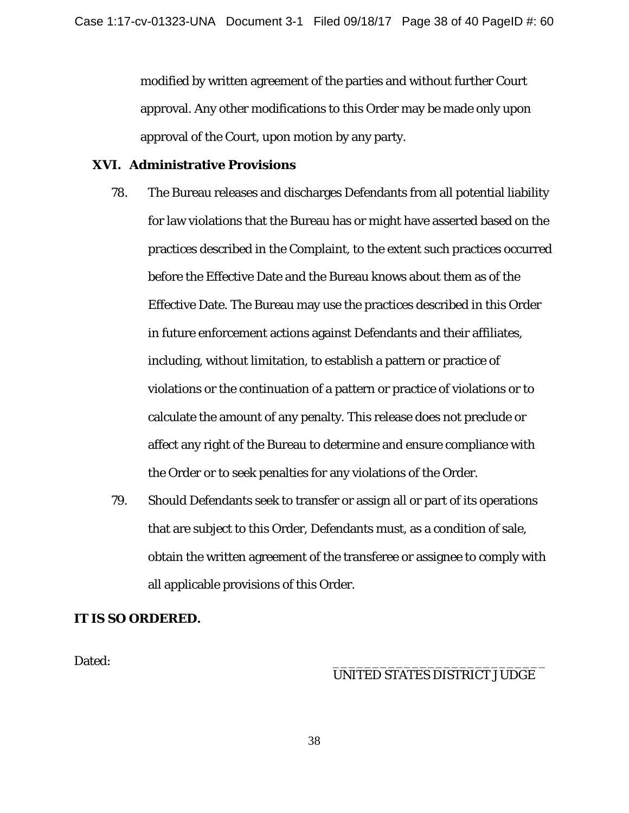modified by written agreement of the parties and without further Court approval. Any other modifications to this Order may be made only upon approval of the Court, upon motion by any party.

## **XVI. Administrative Provisions**

- 78. The Bureau releases and discharges Defendants from all potential liability for law violations that the Bureau has or might have asserted based on the practices described in the Complaint, to the extent such practices occurred before the Effective Date and the Bureau knows about them as of the Effective Date. The Bureau may use the practices described in this Order in future enforcement actions against Defendants and their affiliates, including, without limitation, to establish a pattern or practice of violations or the continuation of a pattern or practice of violations or to calculate the amount of any penalty. This release does not preclude or affect any right of the Bureau to determine and ensure compliance with the Order or to seek penalties for any violations of the Order.
- 79. Should Defendants seek to transfer or assign all or part of its operations that are subject to this Order, Defendants must, as a condition of sale, obtain the written agreement of the transferee or assignee to comply with all applicable provisions of this Order.

#### **IT IS SO ORDERED.**

Dated: \_\_\_\_\_\_\_\_\_\_\_\_\_\_\_\_\_\_\_\_\_\_\_\_\_\_\_

## UNITED STATES DISTRICT JUDGE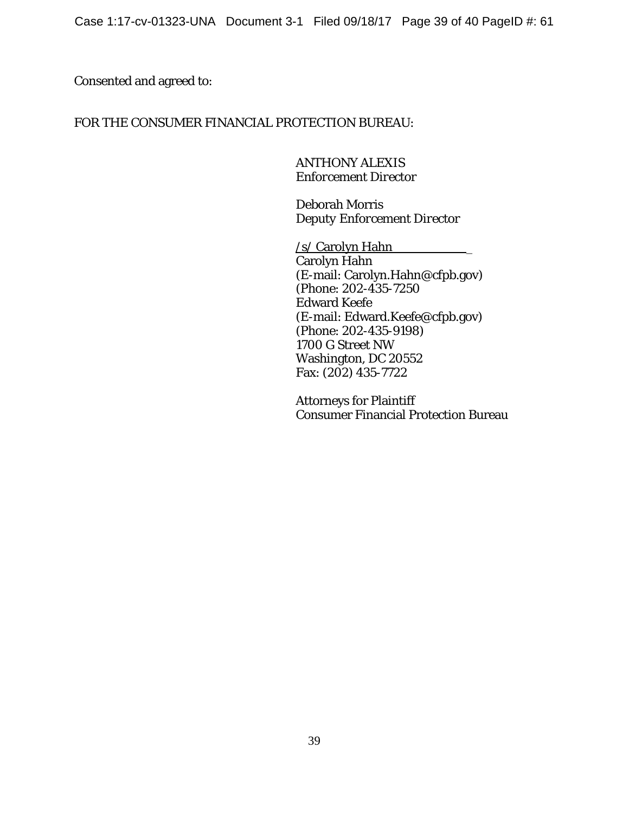## Consented and agreed to:

## FOR THE CONSUMER FINANCIAL PROTECTION BUREAU:

ANTHONY ALEXIS *Enforcement Director* 

Deborah Morris *Deputy Enforcement Director* 

/s/ Carolyn Hahn \_ Carolyn Hahn (E-mail: Carolyn.Hahn@cfpb.gov) (Phone: 202-435-7250 Edward Keefe (E-mail: Edward.Keefe@cfpb.gov) (Phone: 202-435-9198) 1700 G Street NW Washington, DC 20552 Fax: (202) 435-7722

Attorneys for Plaintiff Consumer Financial Protection Bureau